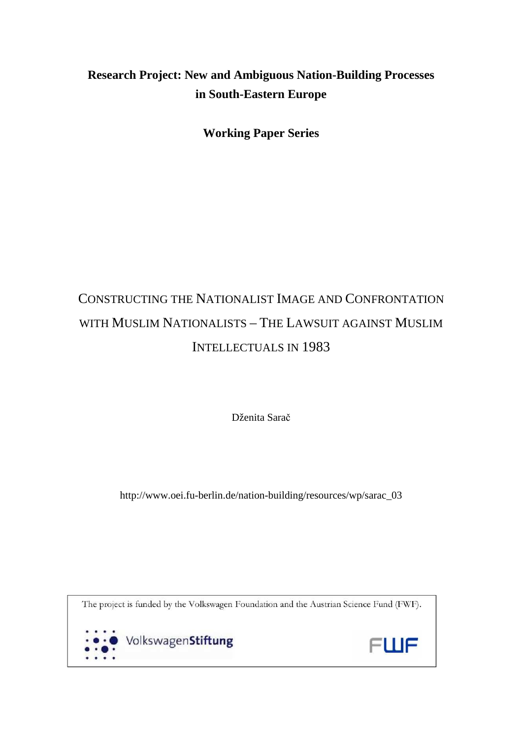# **Research Project: New and Ambiguous Nation-Building Processes in South-Eastern Europe**

**Working Paper Series** 

# CONSTRUCTING THE NATIONALIST IMAGE AND CONFRONTATION WITH MUSLIM NATIONALISTS – THE LAWSUIT AGAINST MUSLIM INTELLECTUALS IN 1983

Dženita Sarač

http://www.oei.fu-berlin.de/nation-building/resources/wp/sarac\_03

The project is funded by the Volkswagen Foundation and the Austrian Science Fund (FWF).



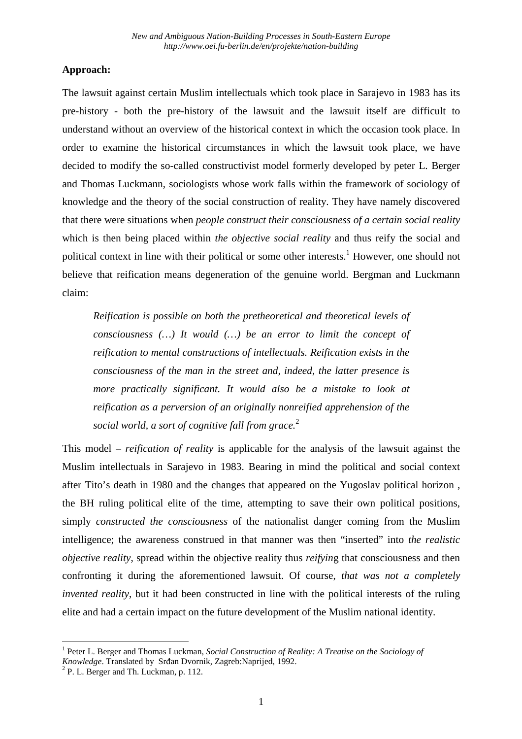# **Approach:**

The lawsuit against certain Muslim intellectuals which took place in Sarajevo in 1983 has its pre-history - both the pre-history of the lawsuit and the lawsuit itself are difficult to understand without an overview of the historical context in which the occasion took place. In order to examine the historical circumstances in which the lawsuit took place, we have decided to modify the so-called constructivist model formerly developed by peter L. Berger and Thomas Luckmann, sociologists whose work falls within the framework of sociology of knowledge and the theory of the social construction of reality. They have namely discovered that there were situations when *people construct their consciousness of a certain social reality* which is then being placed within *the objective social reality* and thus reify the social and political context in line with their political or some other interests.<sup>1</sup> However, one should not believe that reification means degeneration of the genuine world. Bergman and Luckmann claim:

*Reification is possible on both the pretheoretical and theoretical levels of consciousness (…) It would (…) be an error to limit the concept of reification to mental constructions of intellectuals. Reification exists in the consciousness of the man in the street and, indeed, the latter presence is more practically significant. It would also be a mistake to look at reification as a perversion of an originally nonreified apprehension of the social world, a sort of cognitive fall from grace.*<sup>2</sup>

This model – *reification of reality* is applicable for the analysis of the lawsuit against the Muslim intellectuals in Sarajevo in 1983. Bearing in mind the political and social context after Tito's death in 1980 and the changes that appeared on the Yugoslav political horizon , the BH ruling political elite of the time, attempting to save their own political positions, simply *constructed the consciousness* of the nationalist danger coming from the Muslim intelligence; the awareness construed in that manner was then "inserted" into *the realistic objective reality*, spread within the objective reality thus *reifyin*g that consciousness and then confronting it during the aforementioned lawsuit. Of course, *that was not a completely invented reality*, but it had been constructed in line with the political interests of the ruling elite and had a certain impact on the future development of the Muslim national identity.

 1 Peter L. Berger and Thomas Luckman, *Social Construction of Reality: A Treatise on the Sociology of Knowledge*. Translated by Srđan Dvornik, Zagreb:Naprijed, 1992.

<sup>&</sup>lt;sup>2</sup> P. L. Berger and Th. Luckman, p. 112.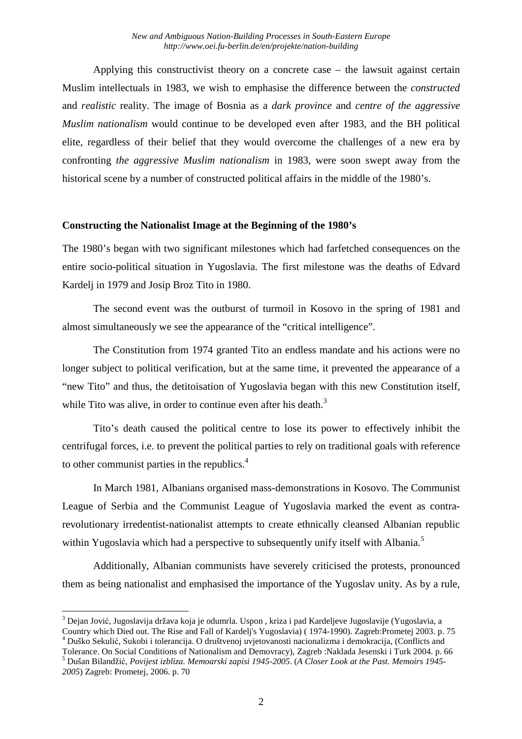Applying this constructivist theory on a concrete case – the lawsuit against certain Muslim intellectuals in 1983, we wish to emphasise the difference between the *constructed* and *realistic* reality. The image of Bosnia as a *dark province* and *centre of the aggressive Muslim nationalism* would continue to be developed even after 1983, and the BH political elite, regardless of their belief that they would overcome the challenges of a new era by confronting *the aggressive Muslim nationalism* in 1983, were soon swept away from the historical scene by a number of constructed political affairs in the middle of the 1980's.

# **Constructing the Nationalist Image at the Beginning of the 1980's**

The 1980's began with two significant milestones which had farfetched consequences on the entire socio-political situation in Yugoslavia. The first milestone was the deaths of Edvard Kardelj in 1979 and Josip Broz Tito in 1980.

The second event was the outburst of turmoil in Kosovo in the spring of 1981 and almost simultaneously we see the appearance of the "critical intelligence".

The Constitution from 1974 granted Tito an endless mandate and his actions were no longer subject to political verification, but at the same time, it prevented the appearance of a "new Tito" and thus, the detitoisation of Yugoslavia began with this new Constitution itself, while Tito was alive, in order to continue even after his death. $3$ 

Tito's death caused the political centre to lose its power to effectively inhibit the centrifugal forces, i.e. to prevent the political parties to rely on traditional goals with reference to other communist parties in the republics.<sup>4</sup>

In March 1981, Albanians organised mass-demonstrations in Kosovo. The Communist League of Serbia and the Communist League of Yugoslavia marked the event as contrarevolutionary irredentist-nationalist attempts to create ethnically cleansed Albanian republic within Yugoslavia which had a perspective to subsequently unify itself with Albania.<sup>5</sup>

Additionally, Albanian communists have severely criticised the protests, pronounced them as being nationalist and emphasised the importance of the Yugoslav unity. As by a rule,

<sup>&</sup>lt;sup>3</sup> Dejan Jović, Jugoslavija država koja je odumrla. Uspon , kriza i pad Kardeljeve Jugoslavije (Yugoslavia, a Country which Died out. The Rise and Fall of Kardelj's Yugoslavia) ( 1974-1990). Zagreb:Prometej 2003. p. 75 4 Duško Sekulić, Sukobi i tolerancija. O društvenoj uvjetovanosti nacionalizma i demokracija, (Conflicts and

Tolerance. On Social Conditions of Nationalism and Demovracy), Zagreb :Naklada Jesenski i Turk 2004. p. 66 5 Dušan Bilandžić, *Povijest izbliza. Memoarski zapisi 1945-2005*. (*A Closer Look at the Past. Memoirs 1945- 2005*) Zagreb: Prometej, 2006. p. 70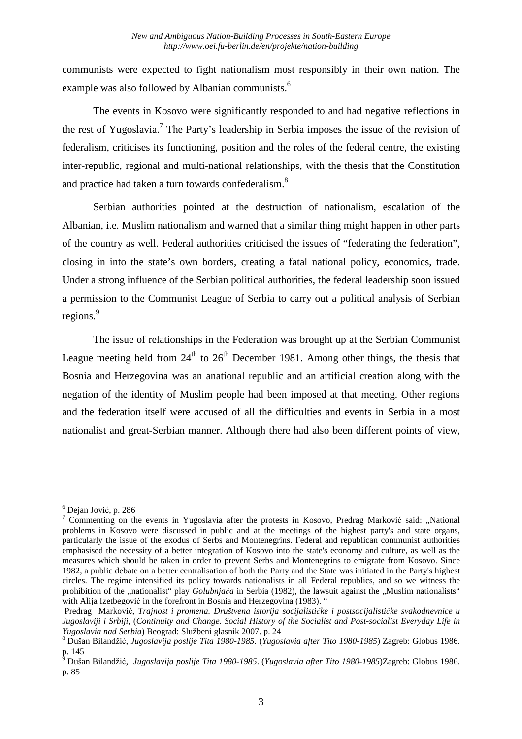communists were expected to fight nationalism most responsibly in their own nation. The example was also followed by Albanian communists.<sup>6</sup>

The events in Kosovo were significantly responded to and had negative reflections in the rest of Yugoslavia.<sup>7</sup> The Party's leadership in Serbia imposes the issue of the revision of federalism, criticises its functioning, position and the roles of the federal centre, the existing inter-republic, regional and multi-national relationships, with the thesis that the Constitution and practice had taken a turn towards confederalism.<sup>8</sup>

Serbian authorities pointed at the destruction of nationalism, escalation of the Albanian, i.e. Muslim nationalism and warned that a similar thing might happen in other parts of the country as well. Federal authorities criticised the issues of "federating the federation", closing in into the state's own borders, creating a fatal national policy, economics, trade. Under a strong influence of the Serbian political authorities, the federal leadership soon issued a permission to the Communist League of Serbia to carry out a political analysis of Serbian regions.<sup>9</sup>

The issue of relationships in the Federation was brought up at the Serbian Communist League meeting held from  $24<sup>th</sup>$  to  $26<sup>th</sup>$  December 1981. Among other things, the thesis that Bosnia and Herzegovina was an anational republic and an artificial creation along with the negation of the identity of Muslim people had been imposed at that meeting. Other regions and the federation itself were accused of all the difficulties and events in Serbia in a most nationalist and great-Serbian manner. Although there had also been different points of view,

<sup>6</sup> Dejan Jović, p. 286

<sup>&</sup>lt;sup>7</sup> Commenting on the events in Yugoslavia after the protests in Kosovo, Predrag Marković said: "National problems in Kosovo were discussed in public and at the meetings of the highest party's and state organs, particularly the issue of the exodus of Serbs and Montenegrins. Federal and republican communist authorities emphasised the necessity of a better integration of Kosovo into the state's economy and culture, as well as the measures which should be taken in order to prevent Serbs and Montenegrins to emigrate from Kosovo. Since 1982, a public debate on a better centralisation of both the Party and the State was initiated in the Party's highest circles. The regime intensified its policy towards nationalists in all Federal republics, and so we witness the prohibition of the "nationalist" play *Golubnjača* in Serbia (1982), the lawsuit against the "Muslim nationalists" with Alija Izetbegović in the forefront in Bosnia and Herzegovina (1983). "

Predrag Marković, *Trajnost i promena. Društvena istorija socijalističke i postsocijalističke svakodnevnice u Jugoslaviji i Srbiji*, (*Continuity and Change. Social History of the Socialist and Post-socialist Everyday Life in Yugoslavia nad Serbia*) Beograd: Službeni glasnik 2007. p. 24

<sup>8</sup> Dušan Bilandžić, *Jugoslavija poslije Tita 1980-1985*. (*Yugoslavia after Tito 1980-1985*) Zagreb: Globus 1986. p. 145<br><sup>9</sup> Duše:

Dušan Bilandžić, *Jugoslavija poslije Tita 1980-1985*. (*Yugoslavia after Tito 1980-1985*)Zagreb: Globus 1986. p. 85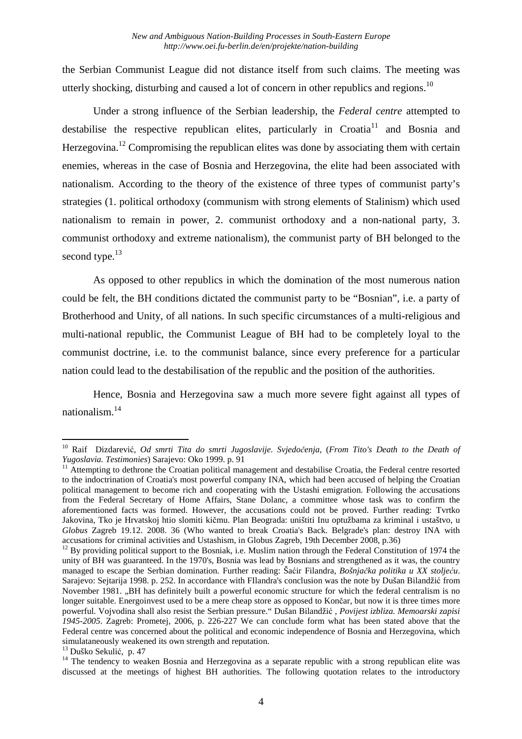the Serbian Communist League did not distance itself from such claims. The meeting was utterly shocking, disturbing and caused a lot of concern in other republics and regions.<sup>10</sup>

Under a strong influence of the Serbian leadership, the *Federal centre* attempted to destabilise the respective republican elites, particularly in  $C_{\text{total}}^{11}$  and Bosnia and Herzegovina.<sup>12</sup> Compromising the republican elites was done by associating them with certain enemies, whereas in the case of Bosnia and Herzegovina, the elite had been associated with nationalism. According to the theory of the existence of three types of communist party's strategies (1. political orthodoxy (communism with strong elements of Stalinism) which used nationalism to remain in power, 2. communist orthodoxy and a non-national party, 3. communist orthodoxy and extreme nationalism), the communist party of BH belonged to the second type.<sup>13</sup>

As opposed to other republics in which the domination of the most numerous nation could be felt, the BH conditions dictated the communist party to be "Bosnian", i.e. a party of Brotherhood and Unity, of all nations. In such specific circumstances of a multi-religious and multi-national republic, the Communist League of BH had to be completely loyal to the communist doctrine, i.e. to the communist balance, since every preference for a particular nation could lead to the destabilisation of the republic and the position of the authorities.

Hence, Bosnia and Herzegovina saw a much more severe fight against all types of nationalism.<sup>14</sup>

<sup>10</sup> Raif Dizdarević, *Od smrti Tita do smrti Jugoslavije. Svjedočenja,* (*From Tito's Death to the Death of Yugoslavia. Testimonies*) Sarajevo: Oko 1999. p. 91

<sup>&</sup>lt;sup>11</sup> Attempting to dethrone the Croatian political management and destabilise Croatia, the Federal centre resorted to the indoctrination of Croatia's most powerful company INA, which had been accused of helping the Croatian political management to become rich and cooperating with the Ustashi emigration. Following the accusations from the Federal Secretary of Home Affairs, Stane Dolanc, a committee whose task was to confirm the aforementioned facts was formed. However, the accusations could not be proved. Further reading: Tvrtko Jakovina, Tko je Hrvatskoj htio slomiti kičmu. Plan Beograda: uništiti Inu optužbama za kriminal i ustaštvo, u *Globus* Zagreb 19.12. 2008. 36 (Who wanted to break Croatia's Back. Belgrade's plan: destroy INA with accusations for criminal activities and Ustashism, in Globus Zagreb, 19th December 2008, p.36)

<sup>&</sup>lt;sup>12</sup> By providing political support to the Bosniak, i.e. Muslim nation through the Federal Constitution of 1974 the unity of BH was guaranteed. In the 1970's, Bosnia was lead by Bosnians and strengthened as it was, the country managed to escape the Serbian domination. Further reading: Šaćir Filandra, *Bošnjačka politika u XX stoljeću*. Sarajevo: Sejtarija 1998. p. 252. In accordance with FIlandra's conclusion was the note by Dušan Bilandžić from November 1981. "BH has definitely built a powerful economic structure for which the federal centralism is no longer suitable. Energoinvest used to be a mere cheap store as opposed to Končar, but now it is three times more powerful. Vojvodina shall also resist the Serbian pressure." Dušan Bilandžić , *Povijest izbliza. Memoarski zapisi 1945-2005*. Zagreb: Prometej, 2006, p. 226-227 We can conclude form what has been stated above that the Federal centre was concerned about the political and economic independence of Bosnia and Herzegovina, which simulataneously weakened its own strength and reputation.

<sup>13</sup> Duško Sekulić, p. 47

<sup>&</sup>lt;sup>14</sup> The tendency to weaken Bosnia and Herzegovina as a separate republic with a strong republican elite was discussed at the meetings of highest BH authorities. The following quotation relates to the introductory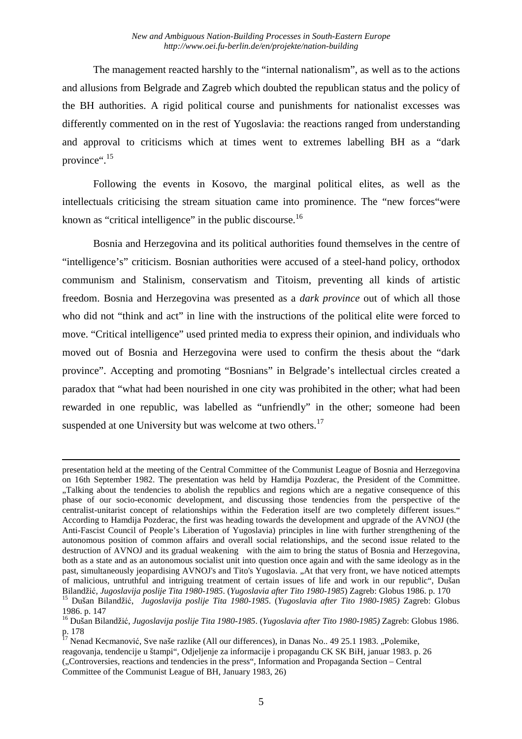The management reacted harshly to the "internal nationalism", as well as to the actions and allusions from Belgrade and Zagreb which doubted the republican status and the policy of the BH authorities. A rigid political course and punishments for nationalist excesses was differently commented on in the rest of Yugoslavia: the reactions ranged from understanding and approval to criticisms which at times went to extremes labelling BH as a "dark province".<sup>15</sup>

Following the events in Kosovo, the marginal political elites, as well as the intellectuals criticising the stream situation came into prominence. The "new forces"were known as "critical intelligence" in the public discourse.<sup>16</sup>

Bosnia and Herzegovina and its political authorities found themselves in the centre of "intelligence's" criticism. Bosnian authorities were accused of a steel-hand policy, orthodox communism and Stalinism, conservatism and Titoism, preventing all kinds of artistic freedom. Bosnia and Herzegovina was presented as a *dark province* out of which all those who did not "think and act" in line with the instructions of the political elite were forced to move. "Critical intelligence" used printed media to express their opinion, and individuals who moved out of Bosnia and Herzegovina were used to confirm the thesis about the "dark province". Accepting and promoting "Bosnians" in Belgrade's intellectual circles created a paradox that "what had been nourished in one city was prohibited in the other; what had been rewarded in one republic, was labelled as "unfriendly" in the other; someone had been suspended at one University but was welcome at two others. $17$ 

presentation held at the meeting of the Central Committee of the Communist League of Bosnia and Herzegovina on 16th September 1982. The presentation was held by Hamdija Pozderac, the President of the Committee. "Talking about the tendencies to abolish the republics and regions which are a negative consequence of this phase of our socio-economic development, and discussing those tendencies from the perspective of the centralist-unitarist concept of relationships within the Federation itself are two completely different issues." According to Hamdija Pozderac, the first was heading towards the development and upgrade of the AVNOJ (the Anti-Fascist Council of People's Liberation of Yugoslavia) principles in line with further strengthening of the autonomous position of common affairs and overall social relationships, and the second issue related to the destruction of AVNOJ and its gradual weakening with the aim to bring the status of Bosnia and Herzegovina, both as a state and as an autonomous socialist unit into question once again and with the same ideology as in the past, simultaneously jeopardising AVNOJ's and Tito's Yugoslavia. "At that very front, we have noticed attempts of malicious, untruthful and intriguing treatment of certain issues of life and work in our republic", Dušan Bilandžić, *Jugoslavija poslije Tita 1980-1985*. (*Yugoslavia after Tito 1980-1985*) Zagreb: Globus 1986. p. 170

<sup>15</sup> Dušan Bilandžić, *Jugoslavija poslije Tita 1980-1985*. (*Yugoslavia after Tito 1980-1985)* Zagreb: Globus 1986. p. 147

<sup>16</sup> Dušan Bilandžić, *Jugoslavija poslije Tita 1980-1985*. (*Yugoslavia after Tito 1980-1985)* Zagreb: Globus 1986. p. 178

 $17$  Nenad Kecmanović, Sve naše razlike (All our differences), in Danas No.. 49 25.1 1983. "Polemike, reagovanja, tendencije u štampi", Odjeljenje za informacije i propagandu CK SK BiH, januar 1983. p. 26 ("Controversies, reactions and tendencies in the press", Information and Propaganda Section – Central Committee of the Communist League of BH, January 1983, 26)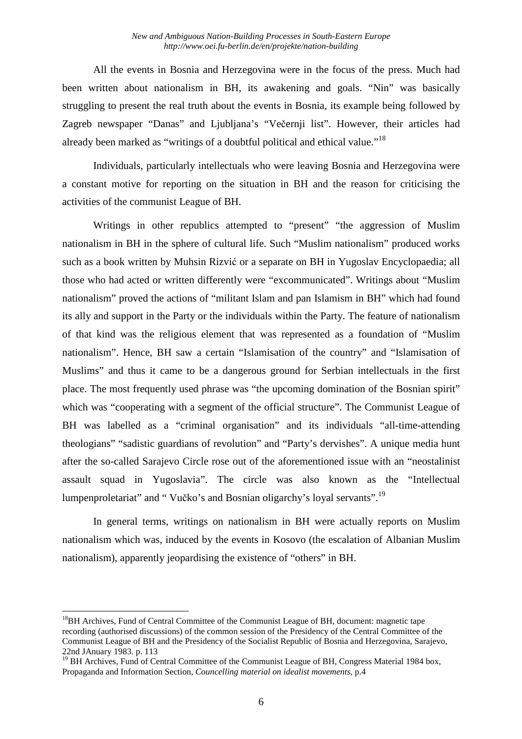All the events in Bosnia and Herzegovina were in the focus of the press. Much had been written about nationalism in BH, its awakening and goals. "Nin" was basically struggling to present the real truth about the events in Bosnia, its example being followed by Zagreb newspaper "Danas" and Ljubljana's "Večernji list". However, their articles had already been marked as "writings of a doubtful political and ethical value."<sup>18</sup>

Individuals, particularly intellectuals who were leaving Bosnia and Herzegovina were a constant motive for reporting on the situation in BH and the reason for criticising the activities of the communist League of BH.

Writings in other republics attempted to "present" "the aggression of Muslim nationalism in BH in the sphere of cultural life. Such "Muslim nationalism" produced works such as a book written by Muhsin Rizvić or a separate on BH in Yugoslav Encyclopaedia; all those who had acted or written differently were "excommunicated". Writings about "Muslim nationalism" proved the actions of "militant Islam and pan Islamism in BH" which had found its ally and support in the Party or the individuals within the Party. The feature of nationalism of that kind was the religious element that was represented as a foundation of "Muslim nationalism". Hence, BH saw a certain "Islamisation of the country" and "Islamisation of Muslims" and thus it came to be a dangerous ground for Serbian intellectuals in the first place. The most frequently used phrase was "the upcoming domination of the Bosnian spirit" which was "cooperating with a segment of the official structure". The Communist League of BH was labelled as a "criminal organisation" and its individuals "all-time-attending theologians" "sadistic guardians of revolution" and "Party's dervishes". A unique media hunt after the so-called Sarajevo Circle rose out of the aforementioned issue with an "neostalinist assault squad in Yugoslavia". The circle was also known as the "Intellectual lumpenproletariat" and " Vučko's and Bosnian oligarchy's loyal servants".<sup>19</sup>

In general terms, writings on nationalism in BH were actually reports on Muslim nationalism which was, induced by the events in Kosovo (the escalation of Albanian Muslim nationalism), apparently jeopardising the existence of "others" in BH.

 $18$ BH Archives, Fund of Central Committee of the Communist League of BH, document: magnetic tape recording (authorised discussions) of the common session of the Presidency of the Central Committee of the Communist League of BH and the Presidency of the Socialist Republic of Bosnia and Herzegovina, Sarajevo, 22nd JAnuary 1983. p. 113

<sup>19</sup> BH Archives, Fund of Central Committee of the Communist League of BH, Congress Material 1984 box, Propaganda and Information Section, *Councelling material on idealist movements*, p.4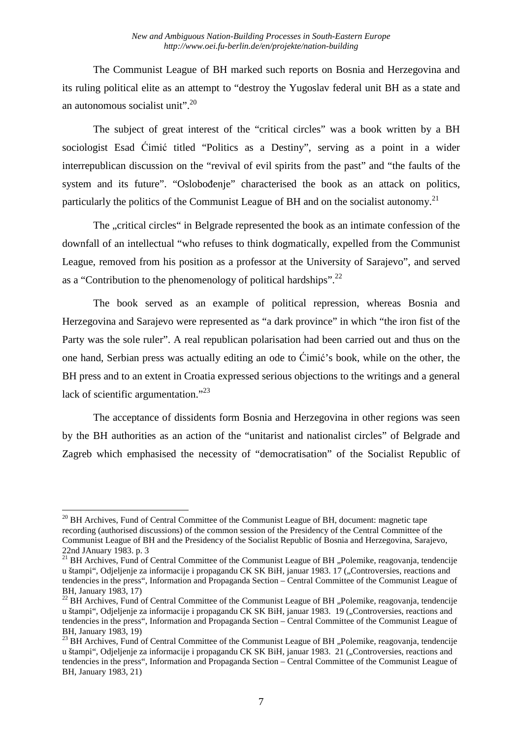The Communist League of BH marked such reports on Bosnia and Herzegovina and its ruling political elite as an attempt to "destroy the Yugoslav federal unit BH as a state and an autonomous socialist unit".<sup>20</sup>

The subject of great interest of the "critical circles" was a book written by a BH sociologist Esad Ćimić titled "Politics as a Destiny", serving as a point in a wider interrepublican discussion on the "revival of evil spirits from the past" and "the faults of the system and its future". "Oslobođenje" characterised the book as an attack on politics, particularly the politics of the Communist League of BH and on the socialist autonomy.<sup>21</sup>

The "critical circles" in Belgrade represented the book as an intimate confession of the downfall of an intellectual "who refuses to think dogmatically, expelled from the Communist League, removed from his position as a professor at the University of Sarajevo", and served as a "Contribution to the phenomenology of political hardships".<sup>22</sup>

The book served as an example of political repression, whereas Bosnia and Herzegovina and Sarajevo were represented as "a dark province" in which "the iron fist of the Party was the sole ruler". A real republican polarisation had been carried out and thus on the one hand, Serbian press was actually editing an ode to Ćimić's book, while on the other, the BH press and to an extent in Croatia expressed serious objections to the writings and a general lack of scientific argumentation."<sup>23</sup>

The acceptance of dissidents form Bosnia and Herzegovina in other regions was seen by the BH authorities as an action of the "unitarist and nationalist circles" of Belgrade and Zagreb which emphasised the necessity of "democratisation" of the Socialist Republic of

 $\overline{a}$ <sup>20</sup> BH Archives, Fund of Central Committee of the Communist League of BH, document: magnetic tape recording (authorised discussions) of the common session of the Presidency of the Central Committee of the Communist League of BH and the Presidency of the Socialist Republic of Bosnia and Herzegovina, Sarajevo, 22nd JAnuary 1983. p. 3

<sup>&</sup>lt;sup>21</sup> BH Archives, Fund of Central Committee of the Communist League of BH "Polemike, reagovanja, tendencije u štampi", Odjeljenje za informacije i propagandu CK SK BiH, januar 1983. 17 ("Controversies, reactions and tendencies in the press", Information and Propaganda Section – Central Committee of the Communist League of BH, January 1983, 17)

<sup>&</sup>lt;sup>22</sup> BH Archives, Fund of Central Committee of the Communist League of BH "Polemike, reagovanja, tendencije u štampi", Odjeljenje za informacije i propagandu CK SK BiH, januar 1983. 19 ("Controversies, reactions and tendencies in the press", Information and Propaganda Section – Central Committee of the Communist League of BH, January 1983, 19)

 $^{23}$  BH Archives, Fund of Central Committee of the Communist League of BH "Polemike, reagovanja, tendencije u štampi", Odjeljenje za informacije i propagandu CK SK BiH, januar 1983. 21 ("Controversies, reactions and tendencies in the press", Information and Propaganda Section – Central Committee of the Communist League of BH, January 1983, 21)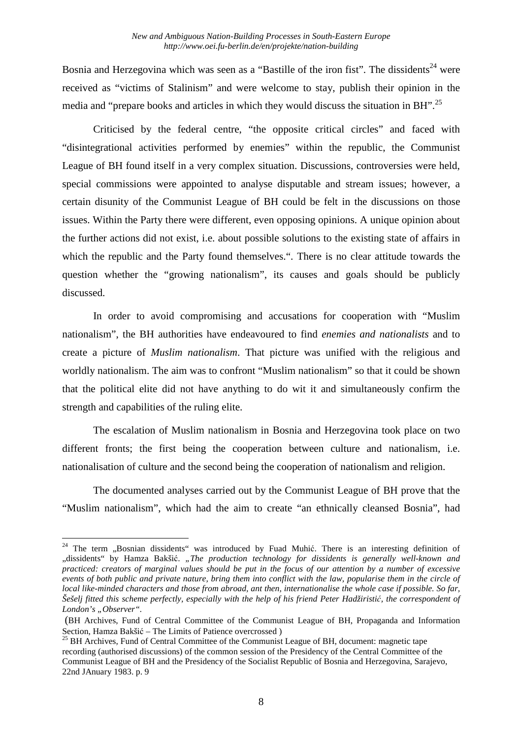Bosnia and Herzegovina which was seen as a "Bastille of the iron fist". The dissidents<sup>24</sup> were received as "victims of Stalinism" and were welcome to stay, publish their opinion in the media and "prepare books and articles in which they would discuss the situation in BH".<sup>25</sup>

Criticised by the federal centre, "the opposite critical circles" and faced with "disintegrational activities performed by enemies" within the republic, the Communist League of BH found itself in a very complex situation. Discussions, controversies were held, special commissions were appointed to analyse disputable and stream issues; however, a certain disunity of the Communist League of BH could be felt in the discussions on those issues. Within the Party there were different, even opposing opinions. A unique opinion about the further actions did not exist, i.e. about possible solutions to the existing state of affairs in which the republic and the Party found themselves.". There is no clear attitude towards the question whether the "growing nationalism", its causes and goals should be publicly discussed.

In order to avoid compromising and accusations for cooperation with "Muslim nationalism", the BH authorities have endeavoured to find *enemies and nationalists* and to create a picture of *Muslim nationalism*. That picture was unified with the religious and worldly nationalism. The aim was to confront "Muslim nationalism" so that it could be shown that the political elite did not have anything to do wit it and simultaneously confirm the strength and capabilities of the ruling elite.

The escalation of Muslim nationalism in Bosnia and Herzegovina took place on two different fronts; the first being the cooperation between culture and nationalism, i.e. nationalisation of culture and the second being the cooperation of nationalism and religion.

The documented analyses carried out by the Communist League of BH prove that the "Muslim nationalism", which had the aim to create "an ethnically cleansed Bosnia", had

<sup>&</sup>lt;sup>24</sup> The term "Bosnian dissidents" was introduced by Fuad Muhić. There is an interesting definition of "dissidents" by Hamza Bakšić. *"The production technology for dissidents is generally well-known and practiced: creators of marginal values should be put in the focus of our attention by a number of excessive events of both public and private nature, bring them into conflict with the law, popularise them in the circle of local like-minded characters and those from abroad, ant then, internationalise the whole case if possible. So far, Šešelj fitted this scheme perfectly, especially with the help of his friend Peter Hadžiristić, the correspondent of*  London's "Observer".

 <sup>(</sup>BH Archives, Fund of Central Committee of the Communist League of BH, Propaganda and Information Section, Hamza Bakšić – The Limits of Patience overcrossed )

 $^{25}$  BH Archives, Fund of Central Committee of the Communist League of BH, document: magnetic tape recording (authorised discussions) of the common session of the Presidency of the Central Committee of the Communist League of BH and the Presidency of the Socialist Republic of Bosnia and Herzegovina, Sarajevo, 22nd JAnuary 1983. p. 9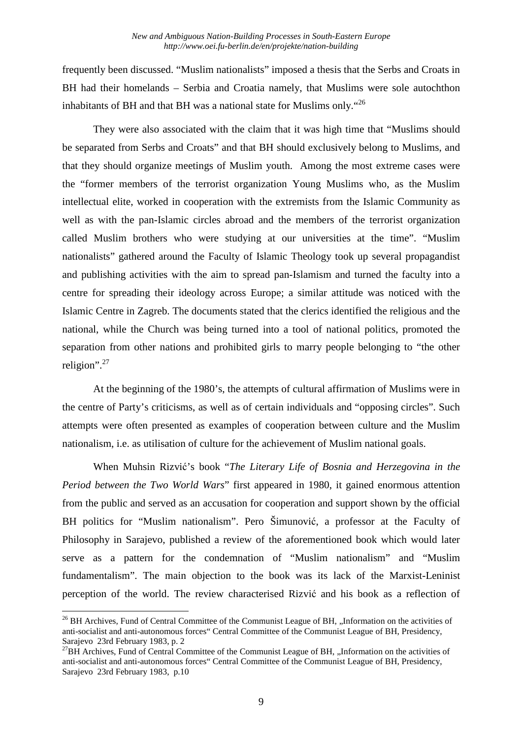frequently been discussed. "Muslim nationalists" imposed a thesis that the Serbs and Croats in BH had their homelands – Serbia and Croatia namely, that Muslims were sole autochthon inhabitants of BH and that BH was a national state for Muslims only."<sup>26</sup>

They were also associated with the claim that it was high time that "Muslims should be separated from Serbs and Croats" and that BH should exclusively belong to Muslims, and that they should organize meetings of Muslim youth. Among the most extreme cases were the "former members of the terrorist organization Young Muslims who, as the Muslim intellectual elite, worked in cooperation with the extremists from the Islamic Community as well as with the pan-Islamic circles abroad and the members of the terrorist organization called Muslim brothers who were studying at our universities at the time". "Muslim nationalists" gathered around the Faculty of Islamic Theology took up several propagandist and publishing activities with the aim to spread pan-Islamism and turned the faculty into a centre for spreading their ideology across Europe; a similar attitude was noticed with the Islamic Centre in Zagreb. The documents stated that the clerics identified the religious and the national, while the Church was being turned into a tool of national politics, promoted the separation from other nations and prohibited girls to marry people belonging to "the other religion".<sup>27</sup>

At the beginning of the 1980's, the attempts of cultural affirmation of Muslims were in the centre of Party's criticisms, as well as of certain individuals and "opposing circles". Such attempts were often presented as examples of cooperation between culture and the Muslim nationalism, i.e. as utilisation of culture for the achievement of Muslim national goals.

When Muhsin Rizvić's book "*The Literary Life of Bosnia and Herzegovina in the Period between the Two World Wars*" first appeared in 1980, it gained enormous attention from the public and served as an accusation for cooperation and support shown by the official BH politics for "Muslim nationalism". Pero Šimunović, a professor at the Faculty of Philosophy in Sarajevo, published a review of the aforementioned book which would later serve as a pattern for the condemnation of "Muslim nationalism" and "Muslim fundamentalism". The main objection to the book was its lack of the Marxist-Leninist perception of the world. The review characterised Rizvić and his book as a reflection of

<sup>&</sup>lt;sup>26</sup> BH Archives, Fund of Central Committee of the Communist League of BH, "Information on the activities of anti-socialist and anti-autonomous forces" Central Committee of the Communist League of BH, Presidency, Sarajevo 23rd February 1983, p. 2

 $^{27}$ BH Archives, Fund of Central Committee of the Communist League of BH, "Information on the activities of anti-socialist and anti-autonomous forces" Central Committee of the Communist League of BH, Presidency, Sarajevo 23rd February 1983, p.10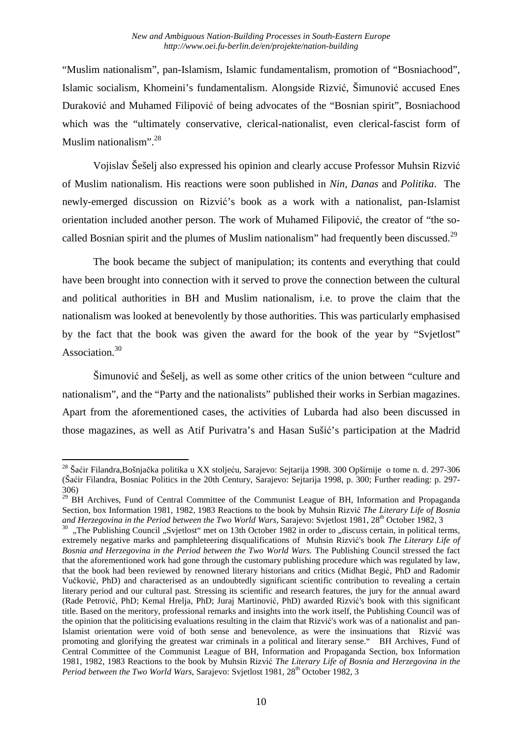"Muslim nationalism", pan-Islamism, Islamic fundamentalism, promotion of "Bosniachood", Islamic socialism, Khomeini's fundamentalism. Alongside Rizvić, Šimunović accused Enes Duraković and Muhamed Filipović of being advocates of the "Bosnian spirit", Bosniachood which was the "ultimately conservative, clerical-nationalist, even clerical-fascist form of Muslim nationalism".<sup>28</sup>

Vojislav Šešelj also expressed his opinion and clearly accuse Professor Muhsin Rizvić of Muslim nationalism. His reactions were soon published in *Nin*, *Danas* and *Politika*. The newly-emerged discussion on Rizvić's book as a work with a nationalist, pan-Islamist orientation included another person. The work of Muhamed Filipović, the creator of "the socalled Bosnian spirit and the plumes of Muslim nationalism" had frequently been discussed.<sup>29</sup>

The book became the subject of manipulation; its contents and everything that could have been brought into connection with it served to prove the connection between the cultural and political authorities in BH and Muslim nationalism, i.e. to prove the claim that the nationalism was looked at benevolently by those authorities. This was particularly emphasised by the fact that the book was given the award for the book of the year by "Svjetlost" Association<sup>30</sup>

Šimunović and Šešelj, as well as some other critics of the union between "culture and nationalism", and the "Party and the nationalists" published their works in Serbian magazines. Apart from the aforementioned cases, the activities of Lubarda had also been discussed in those magazines, as well as Atif Purivatra's and Hasan Sušić's participation at the Madrid

 $\overline{a}$ <sup>28</sup> Šaćir Filandra,Bošnjačka politika u XX stoljeću, Sarajevo: Sejtarija 1998. 300 Opširnije o tome n. d. 297-306 (Šaćir Filandra, Bosniac Politics in the 20th Century, Sarajevo: Sejtarija 1998, p. 300; Further reading: p. 297- 306)

<sup>&</sup>lt;sup>29</sup> BH Archives, Fund of Central Committee of the Communist League of BH, Information and Propaganda Section, box Information 1981, 1982, 1983 Reactions to the book by Muhsin Rizvić *The Literary Life of Bosnia*  and Herzegovina in the Period between the Two World Wars, Sarajevo: Svjetlost 1981, 28<sup>th</sup> October 1982, 3

<sup>30</sup> "The Publishing Council "Svjetlost" met on 13th October 1982 in order to "discuss certain, in political terms, extremely negative marks and pamphleteering disqualifications of Muhsin Rizvić's book *The Literary Life of Bosnia and Herzegovina in the Period between the Two World Wars.* The Publishing Council stressed the fact that the aforementioned work had gone through the customary publishing procedure which was regulated by law, that the book had been reviewed by renowned literary historians and critics (Midhat Begić, PhD and Radomir Vučković, PhD) and characterised as an undoubtedly significant scientific contribution to revealing a certain literary period and our cultural past. Stressing its scientific and research features, the jury for the annual award (Rade Petrović, PhD; Kemal Hrelja, PhD; Juraj Martinović, PhD) awarded Rizvić's book with this significant title. Based on the meritory, professional remarks and insights into the work itself, the Publishing Council was of the opinion that the politicising evaluations resulting in the claim that Rizvić's work was of a nationalist and pan-Islamist orientation were void of both sense and benevolence, as were the insinuations that Rizvić was promoting and glorifying the greatest war criminals in a political and literary sense." BH Archives, Fund of Central Committee of the Communist League of BH, Information and Propaganda Section, box Information 1981, 1982, 1983 Reactions to the book by Muhsin Rizvić *The Literary Life of Bosnia and Herzegovina in the Period between the Two World Wars*, Sarajevo: Svjetlost 1981, 28<sup>th</sup> October 1982, 3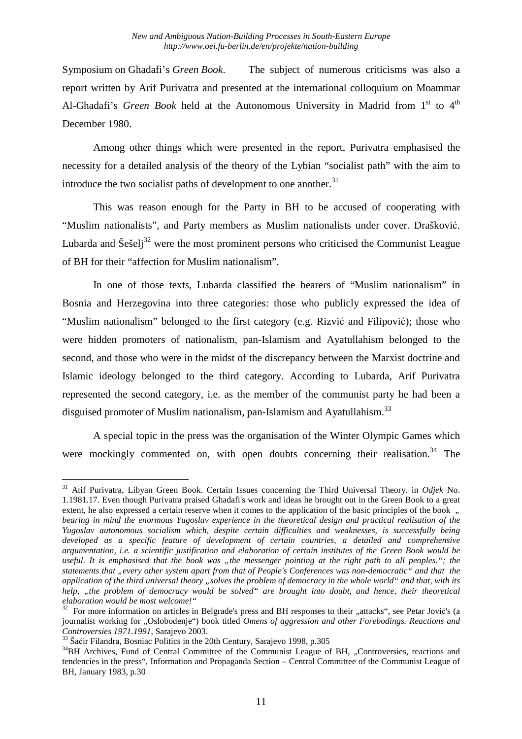Symposium on Ghadafi's *Green Book*. The subject of numerous criticisms was also a report written by Arif Purivatra and presented at the international colloquium on Moammar Al-Ghadafi's *Green Book* held at the Autonomous University in Madrid from 1<sup>st</sup> to 4<sup>th</sup> December 1980.

Among other things which were presented in the report, Purivatra emphasised the necessity for a detailed analysis of the theory of the Lybian "socialist path" with the aim to introduce the two socialist paths of development to one another. $31$ 

This was reason enough for the Party in BH to be accused of cooperating with "Muslim nationalists", and Party members as Muslim nationalists under cover. Drašković. Lubarda and Šešelj $32$  were the most prominent persons who criticised the Communist League of BH for their "affection for Muslim nationalism".

In one of those texts, Lubarda classified the bearers of "Muslim nationalism" in Bosnia and Herzegovina into three categories: those who publicly expressed the idea of "Muslim nationalism" belonged to the first category (e.g. Rizvić and Filipović); those who were hidden promoters of nationalism, pan-Islamism and Ayatullahism belonged to the second, and those who were in the midst of the discrepancy between the Marxist doctrine and Islamic ideology belonged to the third category. According to Lubarda, Arif Purivatra represented the second category, i.e. as the member of the communist party he had been a disguised promoter of Muslim nationalism, pan-Islamism and Ayatullahism.<sup>33</sup>

A special topic in the press was the organisation of the Winter Olympic Games which were mockingly commented on, with open doubts concerning their realisation.<sup>34</sup> The

 $\overline{a}$ <sup>31</sup> Atif Purivatra, Libyan Green Book. Certain Issues concerning the Third Universal Theory. in *Odjek* No. 1.1981.17. Even though Purivatra praised Ghadafi's work and ideas he brought out in the Green Book to a great extent, he also expressed a certain reserve when it comes to the application of the basic principles of the book  $\ldots$ *bearing in mind the enormous Yugoslav experience in the theoretical design and practical realisation of the Yugoslav autonomous socialism which, despite certain difficulties and weaknesses, is successfully being developed as a specific feature of development of certain countries, a detailed and comprehensive argumentation, i.e. a scientific justification and elaboration of certain institutes of the Green Book would be useful. It is emphasised that the book was "the messenger pointing at the right path to all peoples."; the statements that "every other system apart from that of People's Conferences was non-democratic" and that the application of the third universal theory "solves the problem of democracy in the whole world" and that, with its help, "the problem of democracy would be solved" are brought into doubt, and hence, their theoretical elaboration would be most welcome!"* 

 $32$  For more information on articles in Belgrade's press and BH responses to their "attacks", see Petar Jović's (a journalist working for "Oslobođenje") book titled *Omens of aggression and other Forebodings. Reactions and Controversies 1971.1991*, Sarajevo 2003.

<sup>&</sup>lt;sup>33</sup> Šaćir Filandra, Bosniac Politics in the 20th Century, Sarajevo 1998, p.305

<sup>&</sup>lt;sup>34</sup>BH Archives, Fund of Central Committee of the Communist League of BH, "Controversies, reactions and tendencies in the press", Information and Propaganda Section – Central Committee of the Communist League of BH, January 1983, p.30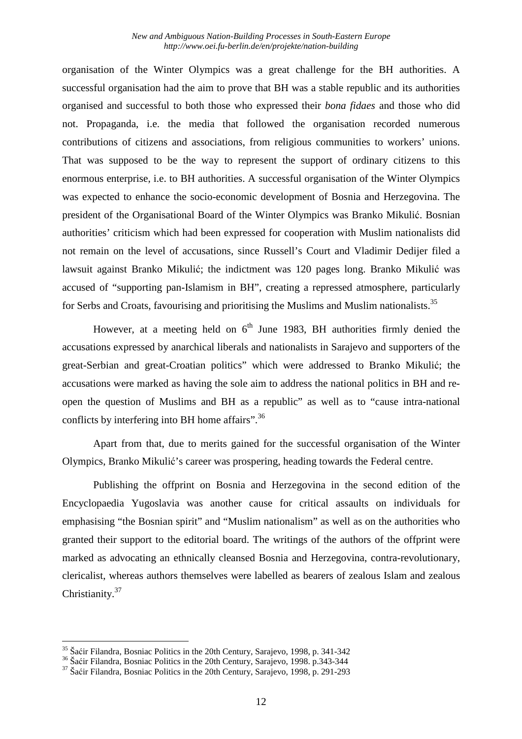organisation of the Winter Olympics was a great challenge for the BH authorities. A successful organisation had the aim to prove that BH was a stable republic and its authorities organised and successful to both those who expressed their *bona fidaes* and those who did not. Propaganda, i.e. the media that followed the organisation recorded numerous contributions of citizens and associations, from religious communities to workers' unions. That was supposed to be the way to represent the support of ordinary citizens to this enormous enterprise, i.e. to BH authorities. A successful organisation of the Winter Olympics was expected to enhance the socio-economic development of Bosnia and Herzegovina. The president of the Organisational Board of the Winter Olympics was Branko Mikulić. Bosnian authorities' criticism which had been expressed for cooperation with Muslim nationalists did not remain on the level of accusations, since Russell's Court and Vladimir Dedijer filed a lawsuit against Branko Mikulić; the indictment was 120 pages long. Branko Mikulić was accused of "supporting pan-Islamism in BH", creating a repressed atmosphere, particularly for Serbs and Croats, favourising and prioritising the Muslims and Muslim nationalists.<sup>35</sup>

However, at a meeting held on  $6<sup>th</sup>$  June 1983, BH authorities firmly denied the accusations expressed by anarchical liberals and nationalists in Sarajevo and supporters of the great-Serbian and great-Croatian politics" which were addressed to Branko Mikulić; the accusations were marked as having the sole aim to address the national politics in BH and reopen the question of Muslims and BH as a republic" as well as to "cause intra-national conflicts by interfering into BH home affairs".<sup>36</sup>

Apart from that, due to merits gained for the successful organisation of the Winter Olympics, Branko Mikulić's career was prospering, heading towards the Federal centre.

Publishing the offprint on Bosnia and Herzegovina in the second edition of the Encyclopaedia Yugoslavia was another cause for critical assaults on individuals for emphasising "the Bosnian spirit" and "Muslim nationalism" as well as on the authorities who granted their support to the editorial board. The writings of the authors of the offprint were marked as advocating an ethnically cleansed Bosnia and Herzegovina, contra-revolutionary, clericalist, whereas authors themselves were labelled as bearers of zealous Islam and zealous Christianity.<sup>37</sup>

<sup>35</sup> Šaćir Filandra, Bosniac Politics in the 20th Century, Sarajevo, 1998, p. 341-342

<sup>36</sup> Šaćir Filandra, Bosniac Politics in the 20th Century, Sarajevo, 1998. p.343-344

 $37$  Šaćir Filandra, Bosniac Politics in the 20th Century, Sarajevo, 1998, p. 291-293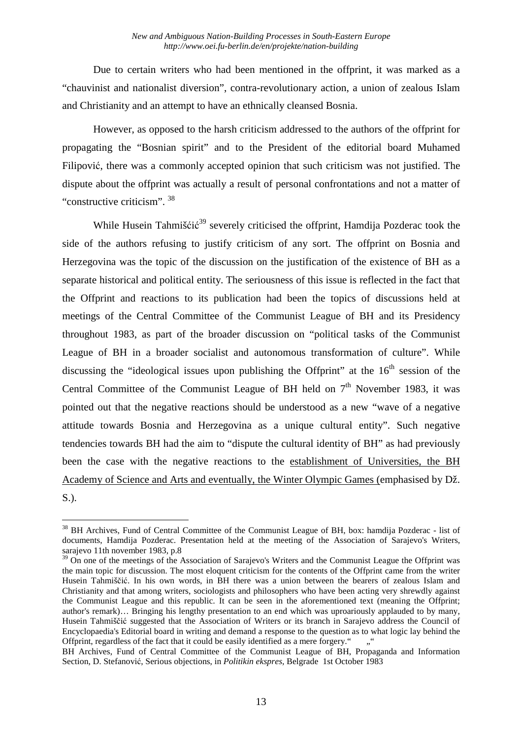Due to certain writers who had been mentioned in the offprint, it was marked as a "chauvinist and nationalist diversion", contra-revolutionary action, a union of zealous Islam and Christianity and an attempt to have an ethnically cleansed Bosnia.

However, as opposed to the harsh criticism addressed to the authors of the offprint for propagating the "Bosnian spirit" and to the President of the editorial board Muhamed Filipović, there was a commonly accepted opinion that such criticism was not justified. The dispute about the offprint was actually a result of personal confrontations and not a matter of "constructive criticism". <sup>38</sup>

While Husein Tahmišćić<sup>39</sup> severely criticised the offprint, Hamdija Pozderac took the side of the authors refusing to justify criticism of any sort. The offprint on Bosnia and Herzegovina was the topic of the discussion on the justification of the existence of BH as a separate historical and political entity. The seriousness of this issue is reflected in the fact that the Offprint and reactions to its publication had been the topics of discussions held at meetings of the Central Committee of the Communist League of BH and its Presidency throughout 1983, as part of the broader discussion on "political tasks of the Communist League of BH in a broader socialist and autonomous transformation of culture". While discussing the "ideological issues upon publishing the Offprint" at the  $16<sup>th</sup>$  session of the Central Committee of the Communist League of BH held on  $7<sup>th</sup>$  November 1983, it was pointed out that the negative reactions should be understood as a new "wave of a negative attitude towards Bosnia and Herzegovina as a unique cultural entity". Such negative tendencies towards BH had the aim to "dispute the cultural identity of BH" as had previously been the case with the negative reactions to the establishment of Universities, the BH Academy of Science and Arts and eventually, the Winter Olympic Games (emphasised by Dž. S.).

 $\overline{a}$ <sup>38</sup> BH Archives, Fund of Central Committee of the Communist League of BH, box: hamdija Pozderac - list of documents, Hamdija Pozderac. Presentation held at the meeting of the Association of Sarajevo's Writers, sarajevo 11th november 1983, p.8

<sup>&</sup>lt;sup>39</sup> On one of the meetings of the Association of Sarajevo's Writers and the Communist League the Offprint was the main topic for discussion. The most eloquent criticism for the contents of the Offprint came from the writer Husein Tahmiščić. In his own words, in BH there was a union between the bearers of zealous Islam and Christianity and that among writers, sociologists and philosophers who have been acting very shrewdly against the Communist League and this republic. It can be seen in the aforementioned text (meaning the Offprint; author's remark)… Bringing his lengthy presentation to an end which was uproariously applauded to by many, Husein Tahmiščić suggested that the Association of Writers or its branch in Sarajevo address the Council of Encyclopaedia's Editorial board in writing and demand a response to the question as to what logic lay behind the Offprint, regardless of the fact that it could be easily identified as a mere forgery."

BH Archives, Fund of Central Committee of the Communist League of BH, Propaganda and Information Section, D. Stefanović, Serious objections, in *Politikin ekspres*, Belgrade 1st October 1983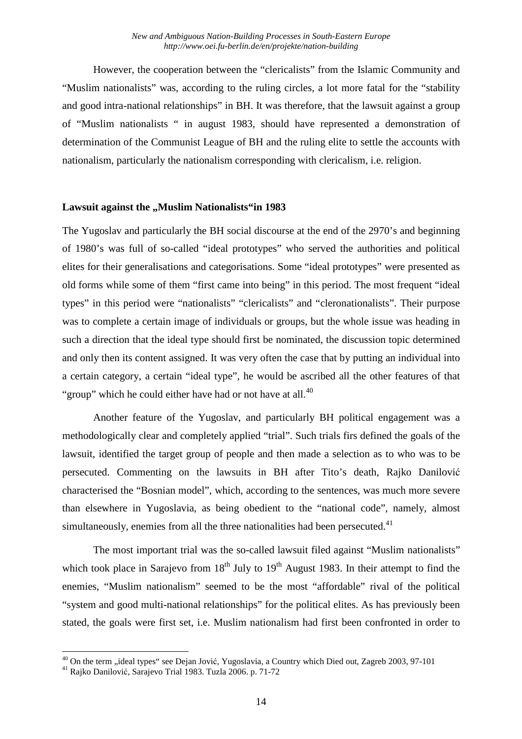However, the cooperation between the "clericalists" from the Islamic Community and "Muslim nationalists" was, according to the ruling circles, a lot more fatal for the "stability and good intra-national relationships" in BH. It was therefore, that the lawsuit against a group of "Muslim nationalists " in august 1983, should have represented a demonstration of determination of the Communist League of BH and the ruling elite to settle the accounts with nationalism, particularly the nationalism corresponding with clericalism, i.e. religion.

#### **Lawsuit against the ... Muslim Nationalists "in 1983**

The Yugoslav and particularly the BH social discourse at the end of the 2970's and beginning of 1980's was full of so-called "ideal prototypes" who served the authorities and political elites for their generalisations and categorisations. Some "ideal prototypes" were presented as old forms while some of them "first came into being" in this period. The most frequent "ideal types" in this period were "nationalists" "clericalists" and "cleronationalists". Their purpose was to complete a certain image of individuals or groups, but the whole issue was heading in such a direction that the ideal type should first be nominated, the discussion topic determined and only then its content assigned. It was very often the case that by putting an individual into a certain category, a certain "ideal type", he would be ascribed all the other features of that "group" which he could either have had or not have at all.<sup>40</sup>

Another feature of the Yugoslav, and particularly BH political engagement was a methodologically clear and completely applied "trial". Such trials firs defined the goals of the lawsuit, identified the target group of people and then made a selection as to who was to be persecuted. Commenting on the lawsuits in BH after Tito's death, Rajko Danilović characterised the "Bosnian model", which, according to the sentences, was much more severe than elsewhere in Yugoslavia, as being obedient to the "national code", namely, almost simultaneously, enemies from all the three nationalities had been persecuted.<sup>41</sup>

The most important trial was the so-called lawsuit filed against "Muslim nationalists" which took place in Sarajevo from  $18<sup>th</sup>$  July to  $19<sup>th</sup>$  August 1983. In their attempt to find the enemies, "Muslim nationalism" seemed to be the most "affordable" rival of the political "system and good multi-national relationships" for the political elites. As has previously been stated, the goals were first set, i.e. Muslim nationalism had first been confronted in order to

<sup>&</sup>lt;sup>40</sup> On the term "ideal types" see Dejan Jović, Yugoslavia, a Country which Died out, Zagreb 2003, 97-101

<sup>41</sup> Rajko Danilović, Sarajevo Trial 1983. Tuzla 2006. p. 71-72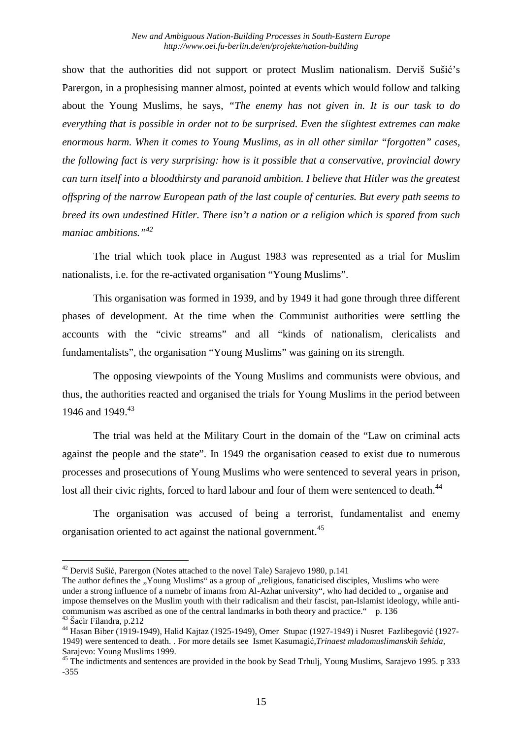show that the authorities did not support or protect Muslim nationalism. Derviš Sušić's Parergon, in a prophesising manner almost, pointed at events which would follow and talking about the Young Muslims, he says, *"The enemy has not given in. It is our task to do everything that is possible in order not to be surprised. Even the slightest extremes can make enormous harm. When it comes to Young Muslims, as in all other similar "forgotten" cases, the following fact is very surprising: how is it possible that a conservative, provincial dowry can turn itself into a bloodthirsty and paranoid ambition. I believe that Hitler was the greatest offspring of the narrow European path of the last couple of centuries. But every path seems to breed its own undestined Hitler. There isn't a nation or a religion which is spared from such maniac ambitions."<sup>42</sup>*

The trial which took place in August 1983 was represented as a trial for Muslim nationalists, i.e. for the re-activated organisation "Young Muslims".

This organisation was formed in 1939, and by 1949 it had gone through three different phases of development. At the time when the Communist authorities were settling the accounts with the "civic streams" and all "kinds of nationalism, clericalists and fundamentalists", the organisation "Young Muslims" was gaining on its strength.

The opposing viewpoints of the Young Muslims and communists were obvious, and thus, the authorities reacted and organised the trials for Young Muslims in the period between 1946 and 1949.<sup>43</sup>

The trial was held at the Military Court in the domain of the "Law on criminal acts against the people and the state". In 1949 the organisation ceased to exist due to numerous processes and prosecutions of Young Muslims who were sentenced to several years in prison, lost all their civic rights, forced to hard labour and four of them were sentenced to death.<sup>44</sup>

The organisation was accused of being a terrorist, fundamentalist and enemy organisation oriented to act against the national government.<sup>45</sup>

<sup>&</sup>lt;sup>42</sup> Derviš Sušić, Parergon (Notes attached to the novel Tale) Sarajevo 1980, p.141

The author defines the "Young Muslims" as a group of "religious, fanaticised disciples, Muslims who were under a strong influence of a numebr of imams from Al-Azhar university", who had decided to , organise and impose themselves on the Muslim youth with their radicalism and their fascist, pan-Islamist ideology, while anticommunism was ascribed as one of the central landmarks in both theory and practice." p. 136 <sup>43</sup> Šaćir Filandra, p.212

<sup>44</sup> Hasan Biber (1919-1949), Halid Kajtaz (1925-1949), Omer Stupac (1927-1949) i Nusret Fazlibegović (1927- 1949) were sentenced to death. . For more details see Ismet Kasumagić,*Trinaest mladomuslimanskih šehida,* Sarajevo: Young Muslims 1999.

<sup>&</sup>lt;sup>45</sup> The indictments and sentences are provided in the book by Sead Trhulj, Young Muslims, Sarajevo 1995. p 333 -355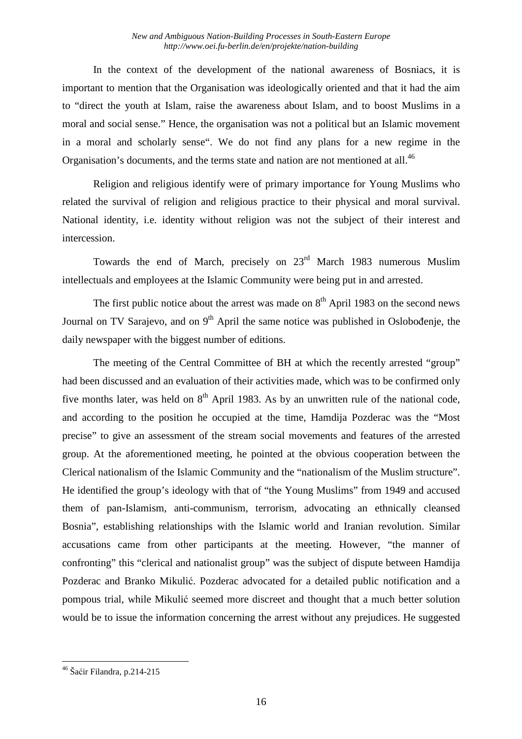In the context of the development of the national awareness of Bosniacs, it is important to mention that the Organisation was ideologically oriented and that it had the aim to "direct the youth at Islam, raise the awareness about Islam, and to boost Muslims in a moral and social sense." Hence, the organisation was not a political but an Islamic movement in a moral and scholarly sense". We do not find any plans for a new regime in the Organisation's documents, and the terms state and nation are not mentioned at all.<sup>46</sup>

Religion and religious identify were of primary importance for Young Muslims who related the survival of religion and religious practice to their physical and moral survival. National identity, i.e. identity without religion was not the subject of their interest and intercession.

Towards the end of March, precisely on  $23<sup>rd</sup>$  March 1983 numerous Muslim intellectuals and employees at the Islamic Community were being put in and arrested.

The first public notice about the arrest was made on  $8<sup>th</sup>$  April 1983 on the second news Journal on TV Sarajevo, and on  $9<sup>th</sup>$  April the same notice was published in Oslobođenje, the daily newspaper with the biggest number of editions.

The meeting of the Central Committee of BH at which the recently arrested "group" had been discussed and an evaluation of their activities made, which was to be confirmed only five months later, was held on  $8<sup>th</sup>$  April 1983. As by an unwritten rule of the national code, and according to the position he occupied at the time, Hamdija Pozderac was the "Most precise" to give an assessment of the stream social movements and features of the arrested group. At the aforementioned meeting, he pointed at the obvious cooperation between the Clerical nationalism of the Islamic Community and the "nationalism of the Muslim structure". He identified the group's ideology with that of "the Young Muslims" from 1949 and accused them of pan-Islamism, anti-communism, terrorism, advocating an ethnically cleansed Bosnia", establishing relationships with the Islamic world and Iranian revolution. Similar accusations came from other participants at the meeting. However, "the manner of confronting" this "clerical and nationalist group" was the subject of dispute between Hamdija Pozderac and Branko Mikulić. Pozderac advocated for a detailed public notification and a pompous trial, while Mikulić seemed more discreet and thought that a much better solution would be to issue the information concerning the arrest without any prejudices. He suggested

<sup>46</sup> Šaćir Filandra, p.214-215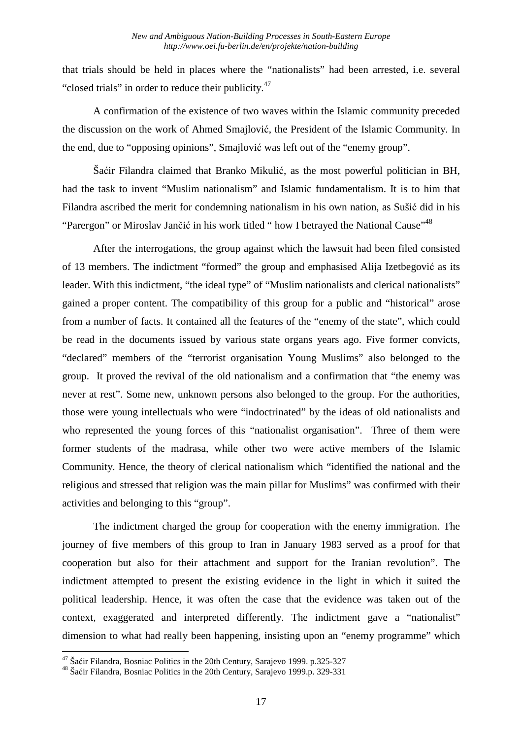that trials should be held in places where the "nationalists" had been arrested, i.e. several "closed trials" in order to reduce their publicity.<sup>47</sup>

A confirmation of the existence of two waves within the Islamic community preceded the discussion on the work of Ahmed Smajlović, the President of the Islamic Community. In the end, due to "opposing opinions", Smajlović was left out of the "enemy group".

Šaćir Filandra claimed that Branko Mikulić, as the most powerful politician in BH, had the task to invent "Muslim nationalism" and Islamic fundamentalism. It is to him that Filandra ascribed the merit for condemning nationalism in his own nation, as Sušić did in his "Parergon" or Miroslav Jančić in his work titled " how I betrayed the National Cause"<sup>48</sup>

After the interrogations, the group against which the lawsuit had been filed consisted of 13 members. The indictment "formed" the group and emphasised Alija Izetbegović as its leader. With this indictment, "the ideal type" of "Muslim nationalists and clerical nationalists" gained a proper content. The compatibility of this group for a public and "historical" arose from a number of facts. It contained all the features of the "enemy of the state", which could be read in the documents issued by various state organs years ago. Five former convicts, "declared" members of the "terrorist organisation Young Muslims" also belonged to the group. It proved the revival of the old nationalism and a confirmation that "the enemy was never at rest". Some new, unknown persons also belonged to the group. For the authorities, those were young intellectuals who were "indoctrinated" by the ideas of old nationalists and who represented the young forces of this "nationalist organisation". Three of them were former students of the madrasa, while other two were active members of the Islamic Community. Hence, the theory of clerical nationalism which "identified the national and the religious and stressed that religion was the main pillar for Muslims" was confirmed with their activities and belonging to this "group".

The indictment charged the group for cooperation with the enemy immigration. The journey of five members of this group to Iran in January 1983 served as a proof for that cooperation but also for their attachment and support for the Iranian revolution". The indictment attempted to present the existing evidence in the light in which it suited the political leadership. Hence, it was often the case that the evidence was taken out of the context, exaggerated and interpreted differently. The indictment gave a "nationalist" dimension to what had really been happening, insisting upon an "enemy programme" which

<sup>&</sup>lt;sup>47</sup> Šaćir Filandra, Bosniac Politics in the 20th Century, Sarajevo 1999. p.325-327

<sup>48</sup> Šaćir Filandra, Bosniac Politics in the 20th Century, Sarajevo 1999.p. 329-331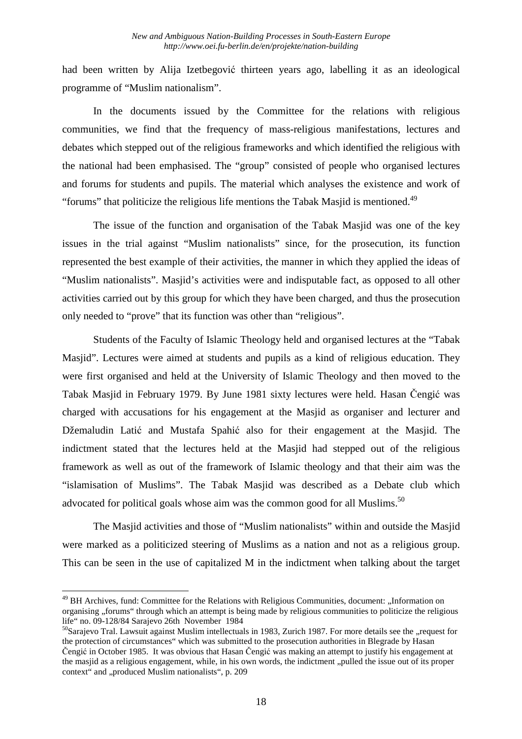had been written by Alija Izetbegović thirteen years ago, labelling it as an ideological programme of "Muslim nationalism".

In the documents issued by the Committee for the relations with religious communities, we find that the frequency of mass-religious manifestations, lectures and debates which stepped out of the religious frameworks and which identified the religious with the national had been emphasised. The "group" consisted of people who organised lectures and forums for students and pupils. The material which analyses the existence and work of "forums" that politicize the religious life mentions the Tabak Masjid is mentioned.<sup>49</sup>

The issue of the function and organisation of the Tabak Masjid was one of the key issues in the trial against "Muslim nationalists" since, for the prosecution, its function represented the best example of their activities, the manner in which they applied the ideas of "Muslim nationalists". Masjid's activities were and indisputable fact, as opposed to all other activities carried out by this group for which they have been charged, and thus the prosecution only needed to "prove" that its function was other than "religious".

Students of the Faculty of Islamic Theology held and organised lectures at the "Tabak Masjid". Lectures were aimed at students and pupils as a kind of religious education. They were first organised and held at the University of Islamic Theology and then moved to the Tabak Masjid in February 1979. By June 1981 sixty lectures were held. Hasan Čengić was charged with accusations for his engagement at the Masjid as organiser and lecturer and Džemaludin Latić and Mustafa Spahić also for their engagement at the Masjid. The indictment stated that the lectures held at the Masjid had stepped out of the religious framework as well as out of the framework of Islamic theology and that their aim was the "islamisation of Muslims". The Tabak Masjid was described as a Debate club which advocated for political goals whose aim was the common good for all Muslims.<sup>50</sup>

The Masjid activities and those of "Muslim nationalists" within and outside the Masjid were marked as a politicized steering of Muslims as a nation and not as a religious group. This can be seen in the use of capitalized M in the indictment when talking about the target

<sup>&</sup>lt;sup>49</sup> BH Archives, fund: Committee for the Relations with Religious Communities, document: "Information on organising "forums" through which an attempt is being made by religious communities to politicize the religious life" no. 09-128/84 Sarajevo 26th November 1984

 $50$ Sarajevo Tral. Lawsuit against Muslim intellectuals in 1983, Zurich 1987. For more details see the "request for the protection of circumstances" which was submitted to the prosecution authorities in Blegrade by Hasan Čengić in October 1985. It was obvious that Hasan Čengić was making an attempt to justify his engagement at the masjid as a religious engagement, while, in his own words, the indictment "pulled the issue out of its proper context" and "produced Muslim nationalists", p. 209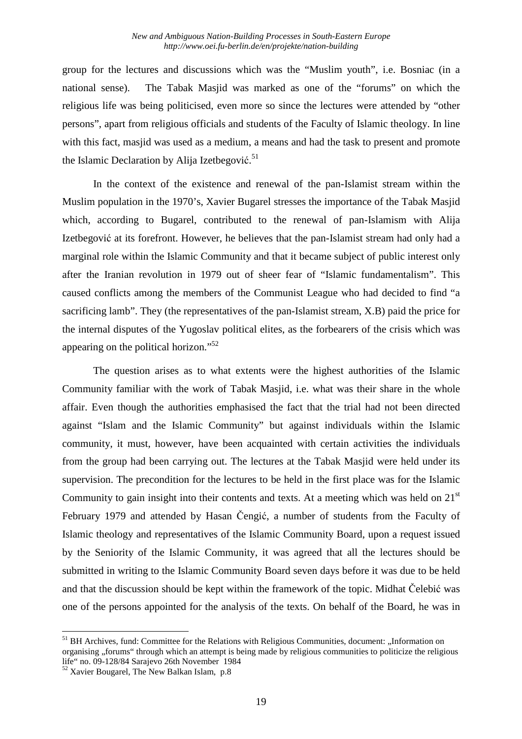group for the lectures and discussions which was the "Muslim youth", i.e. Bosniac (in a national sense). The Tabak Masjid was marked as one of the "forums" on which the religious life was being politicised, even more so since the lectures were attended by "other persons", apart from religious officials and students of the Faculty of Islamic theology. In line with this fact, masjid was used as a medium, a means and had the task to present and promote the Islamic Declaration by Alija Izetbegović.<sup>51</sup>

In the context of the existence and renewal of the pan-Islamist stream within the Muslim population in the 1970's, Xavier Bugarel stresses the importance of the Tabak Masjid which, according to Bugarel, contributed to the renewal of pan-Islamism with Alija Izetbegović at its forefront. However, he believes that the pan-Islamist stream had only had a marginal role within the Islamic Community and that it became subject of public interest only after the Iranian revolution in 1979 out of sheer fear of "Islamic fundamentalism". This caused conflicts among the members of the Communist League who had decided to find "a sacrificing lamb". They (the representatives of the pan-Islamist stream, X.B) paid the price for the internal disputes of the Yugoslav political elites, as the forbearers of the crisis which was appearing on the political horizon."<sup>52</sup>

The question arises as to what extents were the highest authorities of the Islamic Community familiar with the work of Tabak Masjid, i.e. what was their share in the whole affair. Even though the authorities emphasised the fact that the trial had not been directed against "Islam and the Islamic Community" but against individuals within the Islamic community, it must, however, have been acquainted with certain activities the individuals from the group had been carrying out. The lectures at the Tabak Masjid were held under its supervision. The precondition for the lectures to be held in the first place was for the Islamic Community to gain insight into their contents and texts. At a meeting which was held on  $21<sup>st</sup>$ February 1979 and attended by Hasan Čengić, a number of students from the Faculty of Islamic theology and representatives of the Islamic Community Board, upon a request issued by the Seniority of the Islamic Community, it was agreed that all the lectures should be submitted in writing to the Islamic Community Board seven days before it was due to be held and that the discussion should be kept within the framework of the topic. Midhat Čelebić was one of the persons appointed for the analysis of the texts. On behalf of the Board, he was in

<sup>&</sup>lt;sup>51</sup> BH Archives, fund: Committee for the Relations with Religious Communities, document: "Information on organising "forums" through which an attempt is being made by religious communities to politicize the religious life" no. 09-128/84 Sarajevo 26th November 1984

<sup>&</sup>lt;sup>52</sup> Xavier Bougarel, The New Balkan Islam, p.8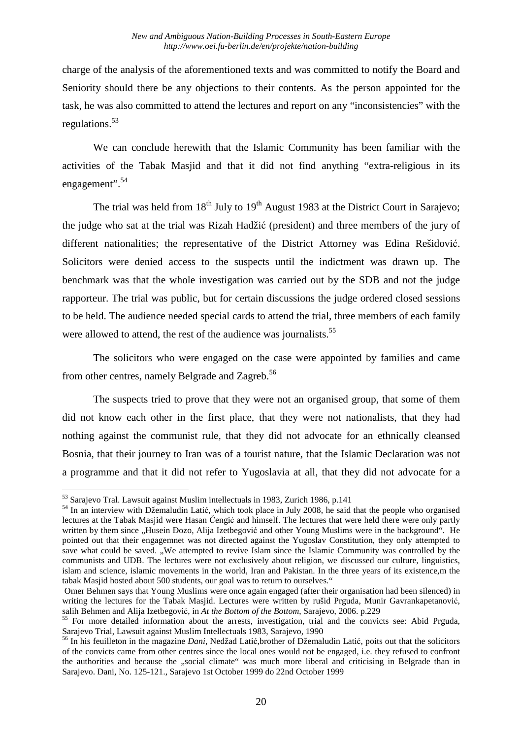charge of the analysis of the aforementioned texts and was committed to notify the Board and Seniority should there be any objections to their contents. As the person appointed for the task, he was also committed to attend the lectures and report on any "inconsistencies" with the regulations.<sup>53</sup>

We can conclude herewith that the Islamic Community has been familiar with the activities of the Tabak Masjid and that it did not find anything "extra-religious in its engagement".<sup>54</sup>

The trial was held from  $18<sup>th</sup>$  July to  $19<sup>th</sup>$  August 1983 at the District Court in Sarajevo; the judge who sat at the trial was Rizah Hadžić (president) and three members of the jury of different nationalities; the representative of the District Attorney was Edina Rešidović. Solicitors were denied access to the suspects until the indictment was drawn up. The benchmark was that the whole investigation was carried out by the SDB and not the judge rapporteur. The trial was public, but for certain discussions the judge ordered closed sessions to be held. The audience needed special cards to attend the trial, three members of each family were allowed to attend, the rest of the audience was journalists.<sup>55</sup>

The solicitors who were engaged on the case were appointed by families and came from other centres, namely Belgrade and Zagreb.<sup>56</sup>

The suspects tried to prove that they were not an organised group, that some of them did not know each other in the first place, that they were not nationalists, that they had nothing against the communist rule, that they did not advocate for an ethnically cleansed Bosnia, that their journey to Iran was of a tourist nature, that the Islamic Declaration was not a programme and that it did not refer to Yugoslavia at all, that they did not advocate for a

 $\overline{a}$ <sup>53</sup> Sarajevo Tral. Lawsuit against Muslim intellectuals in 1983, Zurich 1986, p.141

<sup>&</sup>lt;sup>54</sup> In an interview with Džemaludin Latić, which took place in July 2008, he said that the people who organised lectures at the Tabak Masjid were Hasan Čengić and himself. The lectures that were held there were only partly written by them since "Husein Đozo, Alija Izetbegović and other Young Muslims were in the background". He pointed out that their engagemnet was not directed against the Yugoslav Constitution, they only attempted to save what could be saved. "We attempted to revive Islam since the Islamic Community was controlled by the communists and UDB. The lectures were not exclusively about religion, we discussed our culture, linguistics, islam and science, islamic movements in the world, Iran and Pakistan. In the three years of its existence,m the tabak Masjid hosted about 500 students, our goal was to return to ourselves."

Omer Behmen says that Young Muslims were once again engaged (after their organisation had been silenced) in writing the lectures for the Tabak Masjid. Lectures were written by rušid Prguda, Munir Gavrankapetanović, salih Behmen and Alija Izetbegović, in *At the Bottom of the Bottom*, Sarajevo, 2006. p.229

<sup>&</sup>lt;sup>55</sup> For more detailed information about the arrests, investigation, trial and the convicts see: Abid Prguda, Sarajevo Trial, Lawsuit against Muslim Intellectuals 1983, Sarajevo, 1990

<sup>56</sup> In his feuilleton in the magazine *Dani*, Nedžad Latić,brother of Džemaludin Latić, poits out that the solicitors of the convicts came from other centres since the local ones would not be engaged, i.e. they refused to confront the authorities and because the "social climate" was much more liberal and criticising in Belgrade than in Sarajevo. Dani, No. 125-121., Sarajevo 1st October 1999 do 22nd October 1999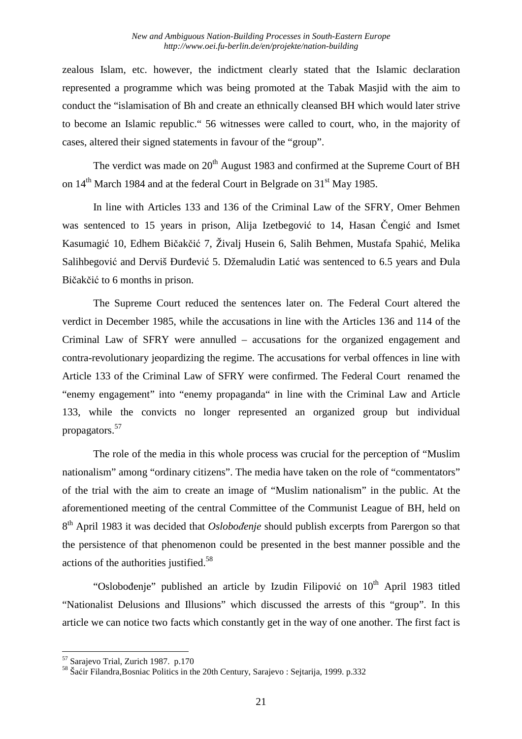zealous Islam, etc. however, the indictment clearly stated that the Islamic declaration represented a programme which was being promoted at the Tabak Masjid with the aim to conduct the "islamisation of Bh and create an ethnically cleansed BH which would later strive to become an Islamic republic." 56 witnesses were called to court, who, in the majority of cases, altered their signed statements in favour of the "group".

The verdict was made on  $20<sup>th</sup>$  August 1983 and confirmed at the Supreme Court of BH on 14<sup>th</sup> March 1984 and at the federal Court in Belgrade on 31<sup>st</sup> May 1985.

In line with Articles 133 and 136 of the Criminal Law of the SFRY, Omer Behmen was sentenced to 15 years in prison, Alija Izetbegović to 14, Hasan Čengić and Ismet Kasumagić 10, Edhem Bičakčić 7, Živalj Husein 6, Salih Behmen, Mustafa Spahić, Melika Salihbegović and Derviš Đurđević 5. Džemaludin Latić was sentenced to 6.5 years and Đula Bičakčić to 6 months in prison.

The Supreme Court reduced the sentences later on. The Federal Court altered the verdict in December 1985, while the accusations in line with the Articles 136 and 114 of the Criminal Law of SFRY were annulled – accusations for the organized engagement and contra-revolutionary jeopardizing the regime. The accusations for verbal offences in line with Article 133 of the Criminal Law of SFRY were confirmed. The Federal Court renamed the "enemy engagement" into "enemy propaganda" in line with the Criminal Law and Article 133, while the convicts no longer represented an organized group but individual propagators.<sup>57</sup>

The role of the media in this whole process was crucial for the perception of "Muslim nationalism" among "ordinary citizens". The media have taken on the role of "commentators" of the trial with the aim to create an image of "Muslim nationalism" in the public. At the aforementioned meeting of the central Committee of the Communist League of BH, held on 8 th April 1983 it was decided that *Oslobođenje* should publish excerpts from Parergon so that the persistence of that phenomenon could be presented in the best manner possible and the actions of the authorities justified.<sup>58</sup>

"Oslobođenje" published an article by Izudin Filipović on  $10<sup>th</sup>$  April 1983 titled "Nationalist Delusions and Illusions" which discussed the arrests of this "group". In this article we can notice two facts which constantly get in the way of one another. The first fact is

<sup>&</sup>lt;sup>57</sup> Sarajevo Trial, Zurich 1987. p.170

<sup>58</sup> Šaćir Filandra,Bosniac Politics in the 20th Century, Sarajevo : Sejtarija, 1999. p.332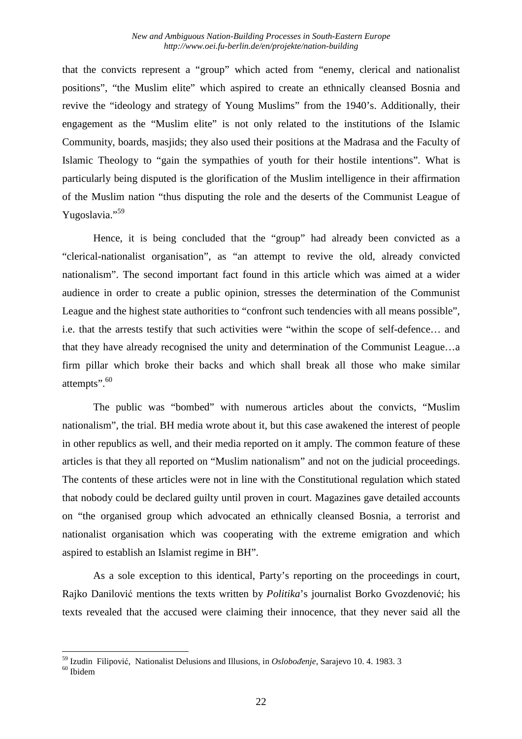that the convicts represent a "group" which acted from "enemy, clerical and nationalist positions", "the Muslim elite" which aspired to create an ethnically cleansed Bosnia and revive the "ideology and strategy of Young Muslims" from the 1940's. Additionally, their engagement as the "Muslim elite" is not only related to the institutions of the Islamic Community, boards, masjids; they also used their positions at the Madrasa and the Faculty of Islamic Theology to "gain the sympathies of youth for their hostile intentions". What is particularly being disputed is the glorification of the Muslim intelligence in their affirmation of the Muslim nation "thus disputing the role and the deserts of the Communist League of Yugoslavia."<sup>59</sup>

Hence, it is being concluded that the "group" had already been convicted as a "clerical-nationalist organisation", as "an attempt to revive the old, already convicted nationalism". The second important fact found in this article which was aimed at a wider audience in order to create a public opinion, stresses the determination of the Communist League and the highest state authorities to "confront such tendencies with all means possible", i.e. that the arrests testify that such activities were "within the scope of self-defence… and that they have already recognised the unity and determination of the Communist League…a firm pillar which broke their backs and which shall break all those who make similar attempts".<sup>60</sup>

The public was "bombed" with numerous articles about the convicts, "Muslim nationalism", the trial. BH media wrote about it, but this case awakened the interest of people in other republics as well, and their media reported on it amply. The common feature of these articles is that they all reported on "Muslim nationalism" and not on the judicial proceedings. The contents of these articles were not in line with the Constitutional regulation which stated that nobody could be declared guilty until proven in court. Magazines gave detailed accounts on "the organised group which advocated an ethnically cleansed Bosnia, a terrorist and nationalist organisation which was cooperating with the extreme emigration and which aspired to establish an Islamist regime in BH".

As a sole exception to this identical, Party's reporting on the proceedings in court, Rajko Danilović mentions the texts written by *Politika*'s journalist Borko Gvozdenović; his texts revealed that the accused were claiming their innocence, that they never said all the

<sup>59</sup> Izudin Filipović, Nationalist Delusions and Illusions, in *Oslobođenje*, Sarajevo 10. 4. 1983. 3

<sup>&</sup>lt;sup>60</sup> Ibidem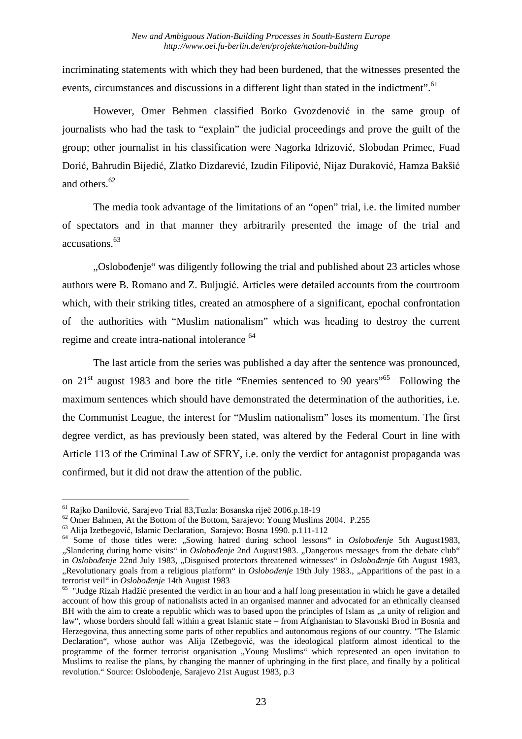incriminating statements with which they had been burdened, that the witnesses presented the events, circumstances and discussions in a different light than stated in the indictment".<sup>61</sup>

However, Omer Behmen classified Borko Gvozdenović in the same group of journalists who had the task to "explain" the judicial proceedings and prove the guilt of the group; other journalist in his classification were Nagorka Idrizović, Slobodan Primec, Fuad Dorić, Bahrudin Bijedić, Zlatko Dizdarević, Izudin Filipović, Nijaz Duraković, Hamza Bakšić and others.<sup>62</sup>

The media took advantage of the limitations of an "open" trial, i.e. the limited number of spectators and in that manner they arbitrarily presented the image of the trial and accusations.<sup>63</sup>

"Oslobođenje" was diligently following the trial and published about 23 articles whose authors were B. Romano and Z. Buljugić. Articles were detailed accounts from the courtroom which, with their striking titles, created an atmosphere of a significant, epochal confrontation of the authorities with "Muslim nationalism" which was heading to destroy the current regime and create intra-national intolerance <sup>64</sup>

The last article from the series was published a day after the sentence was pronounced, on  $21<sup>st</sup>$  august 1983 and bore the title "Enemies sentenced to 90 years"<sup>65</sup> Following the maximum sentences which should have demonstrated the determination of the authorities, i.e. the Communist League, the interest for "Muslim nationalism" loses its momentum. The first degree verdict, as has previously been stated, was altered by the Federal Court in line with Article 113 of the Criminal Law of SFRY, i.e. only the verdict for antagonist propaganda was confirmed, but it did not draw the attention of the public.

<sup>61</sup> Rajko Danilović, Sarajevo Trial 83,Tuzla: Bosanska riječ 2006.p.18-19

<sup>&</sup>lt;sup>62</sup> Omer Bahmen, At the Bottom of the Bottom, Sarajevo: Young Muslims 2004. P.255

<sup>63</sup> Alija Izetbegović, Islamic Declaration, Sarajevo: Bosna 1990. p.111-112

<sup>64</sup> Some of those titles were: "Sowing hatred during school lessons" in *Oslobođenje* 5th August1983, "Slandering during home visits" in *Oslobođenje* 2nd August1983. "Dangerous messages from the debate club" in *Oslobođenje* 22nd July 1983, "Disguised protectors threatened witnesses" in *Oslobođenje* 6th August 1983, "Revolutionary goals from a religious platform" in *Oslobođenje* 19th July 1983., "Apparitions of the past in a terrorist veil" in *Oslobođenje* 14th August 1983

<sup>&</sup>lt;sup>65</sup> "Judge Rizah Hadžić presented the verdict in an hour and a half long presentation in which he gave a detailed account of how this group of nationalists acted in an organised manner and advocated for an ethnically cleansed BH with the aim to create a republic which was to based upon the principles of Islam as ..a unity of religion and law", whose borders should fall within a great Islamic state – from Afghanistan to Slavonski Brod in Bosnia and Herzegovina, thus annecting some parts of other republics and autonomous regions of our country. "The Islamic Declaration", whose author was Alija IZetbegović, was the ideological platform almost identical to the programme of the former terrorist organisation "Young Muslims" which represented an open invitation to Muslims to realise the plans, by changing the manner of upbringing in the first place, and finally by a political revolution." Source: Oslobođenje, Sarajevo 21st August 1983, p.3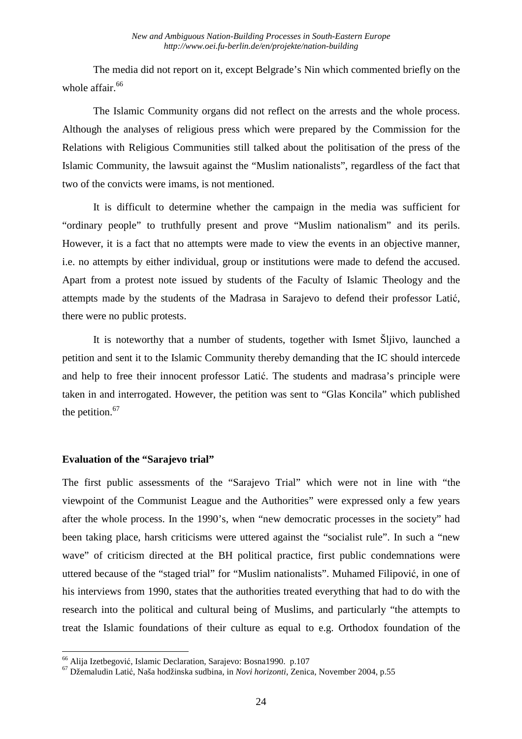The media did not report on it, except Belgrade's Nin which commented briefly on the whole affair. $66$ 

The Islamic Community organs did not reflect on the arrests and the whole process. Although the analyses of religious press which were prepared by the Commission for the Relations with Religious Communities still talked about the politisation of the press of the Islamic Community, the lawsuit against the "Muslim nationalists", regardless of the fact that two of the convicts were imams, is not mentioned.

It is difficult to determine whether the campaign in the media was sufficient for "ordinary people" to truthfully present and prove "Muslim nationalism" and its perils. However, it is a fact that no attempts were made to view the events in an objective manner, i.e. no attempts by either individual, group or institutions were made to defend the accused. Apart from a protest note issued by students of the Faculty of Islamic Theology and the attempts made by the students of the Madrasa in Sarajevo to defend their professor Latić, there were no public protests.

It is noteworthy that a number of students, together with Ismet Šljivo, launched a petition and sent it to the Islamic Community thereby demanding that the IC should intercede and help to free their innocent professor Latić. The students and madrasa's principle were taken in and interrogated. However, the petition was sent to "Glas Koncila" which published the petition. $67$ 

## **Evaluation of the "Sarajevo trial"**

 $\overline{a}$ 

The first public assessments of the "Sarajevo Trial" which were not in line with "the viewpoint of the Communist League and the Authorities" were expressed only a few years after the whole process. In the 1990's, when "new democratic processes in the society" had been taking place, harsh criticisms were uttered against the "socialist rule". In such a "new wave" of criticism directed at the BH political practice, first public condemnations were uttered because of the "staged trial" for "Muslim nationalists". Muhamed Filipović, in one of his interviews from 1990, states that the authorities treated everything that had to do with the research into the political and cultural being of Muslims, and particularly "the attempts to treat the Islamic foundations of their culture as equal to e.g. Orthodox foundation of the

<sup>&</sup>lt;sup>66</sup> Alija Izetbegović, Islamic Declaration, Sarajevo: Bosna1990. p.107

<sup>67</sup> Džemaludin Latić, Naša hodžinska sudbina, in *Novi horizonti*, Zenica, November 2004, p.55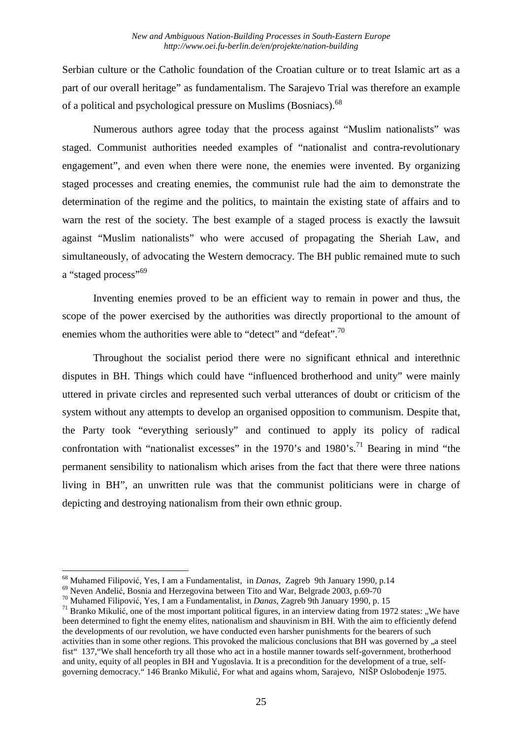Serbian culture or the Catholic foundation of the Croatian culture or to treat Islamic art as a part of our overall heritage" as fundamentalism. The Sarajevo Trial was therefore an example of a political and psychological pressure on Muslims (Bosniacs).<sup>68</sup>

Numerous authors agree today that the process against "Muslim nationalists" was staged. Communist authorities needed examples of "nationalist and contra-revolutionary engagement", and even when there were none, the enemies were invented. By organizing staged processes and creating enemies, the communist rule had the aim to demonstrate the determination of the regime and the politics, to maintain the existing state of affairs and to warn the rest of the society. The best example of a staged process is exactly the lawsuit against "Muslim nationalists" who were accused of propagating the Sheriah Law, and simultaneously, of advocating the Western democracy. The BH public remained mute to such a "staged process"<sup>69</sup>

Inventing enemies proved to be an efficient way to remain in power and thus, the scope of the power exercised by the authorities was directly proportional to the amount of enemies whom the authorities were able to "detect" and "defeat".<sup>70</sup>

Throughout the socialist period there were no significant ethnical and interethnic disputes in BH. Things which could have "influenced brotherhood and unity" were mainly uttered in private circles and represented such verbal utterances of doubt or criticism of the system without any attempts to develop an organised opposition to communism. Despite that, the Party took "everything seriously" and continued to apply its policy of radical confrontation with "nationalist excesses" in the  $1970$ 's and  $1980$ 's.<sup>71</sup> Bearing in mind "the permanent sensibility to nationalism which arises from the fact that there were three nations living in BH", an unwritten rule was that the communist politicians were in charge of depicting and destroying nationalism from their own ethnic group.

<sup>68</sup> Muhamed Filipović, Yes, I am a Fundamentalist, in *Danas*, Zagreb 9th January 1990, p.14

<sup>69</sup> Neven Anđelić, Bosnia and Herzegovina between Tito and War, Belgrade 2003, p.69-70

<sup>70</sup> Muhamed Filipović, Yes, I am a Fundamentalist, in *Danas*, Zagreb 9th January 1990, p. 15

 $^{71}$  Branko Mikulić, one of the most important political figures, in an interview dating from 1972 states: ..We have been determined to fight the enemy elites, nationalism and shauvinism in BH. With the aim to efficiently defend the developments of our revolution, we have conducted even harsher punishments for the bearers of such activities than in some other regions. This provoked the malicious conclusions that BH was governed by  $\alpha$  a steel fist" 137,"We shall henceforth try all those who act in a hostile manner towards self-government, brotherhood and unity, equity of all peoples in BH and Yugoslavia. It is a precondition for the development of a true, selfgoverning democracy." 146 Branko Mikulić, For what and agains whom, Sarajevo, NIŠP Oslobođenje 1975.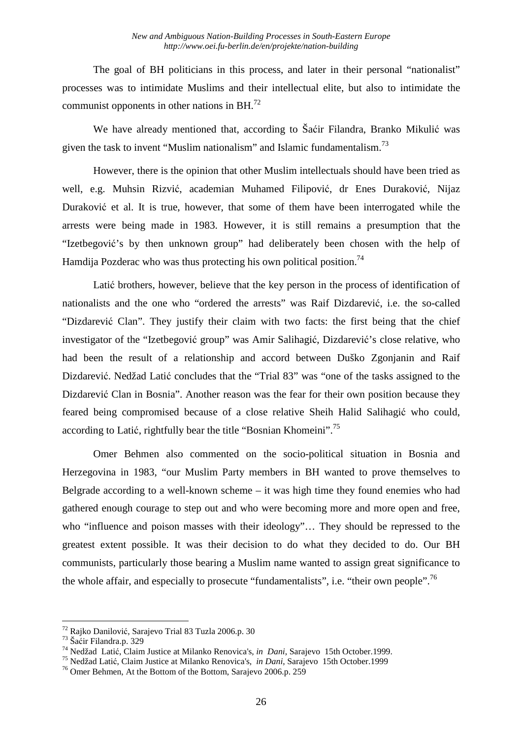The goal of BH politicians in this process, and later in their personal "nationalist" processes was to intimidate Muslims and their intellectual elite, but also to intimidate the communist opponents in other nations in  $BH.<sup>72</sup>$ 

We have already mentioned that, according to Šaćir Filandra, Branko Mikulić was given the task to invent "Muslim nationalism" and Islamic fundamentalism.<sup>73</sup>

However, there is the opinion that other Muslim intellectuals should have been tried as well, e.g. Muhsin Rizvić, academian Muhamed Filipović, dr Enes Duraković, Nijaz Duraković et al. It is true, however, that some of them have been interrogated while the arrests were being made in 1983. However, it is still remains a presumption that the "Izetbegović's by then unknown group" had deliberately been chosen with the help of Hamdija Pozderac who was thus protecting his own political position.<sup>74</sup>

Latić brothers, however, believe that the key person in the process of identification of nationalists and the one who "ordered the arrests" was Raif Dizdarević, i.e. the so-called "Dizdarević Clan". They justify their claim with two facts: the first being that the chief investigator of the "Izetbegović group" was Amir Salihagić, Dizdarević's close relative, who had been the result of a relationship and accord between Duško Zgonjanin and Raif Dizdarević. Nedžad Latić concludes that the "Trial 83" was "one of the tasks assigned to the Dizdarević Clan in Bosnia". Another reason was the fear for their own position because they feared being compromised because of a close relative Sheih Halid Salihagić who could, according to Latić, rightfully bear the title "Bosnian Khomeini".<sup>75</sup>

Omer Behmen also commented on the socio-political situation in Bosnia and Herzegovina in 1983, "our Muslim Party members in BH wanted to prove themselves to Belgrade according to a well-known scheme – it was high time they found enemies who had gathered enough courage to step out and who were becoming more and more open and free, who "influence and poison masses with their ideology"… They should be repressed to the greatest extent possible. It was their decision to do what they decided to do. Our BH communists, particularly those bearing a Muslim name wanted to assign great significance to the whole affair, and especially to prosecute "fundamentalists", i.e. "their own people".<sup>76</sup>

<sup>72</sup> Rajko Danilović, Sarajevo Trial 83 Tuzla 2006.p. 30

<sup>73</sup> Šaćir Filandra.p. 329

<sup>74</sup> Nedžad Latić, Claim Justice at Milanko Renovica's*, in Dani*, Sarajevo 15th October.1999.

<sup>75</sup> Nedžad Latić, Claim Justice at Milanko Renovica's*, in Dani*, Sarajevo 15th October.1999

<sup>76</sup> Omer Behmen, At the Bottom of the Bottom, Sarajevo 2006.p. 259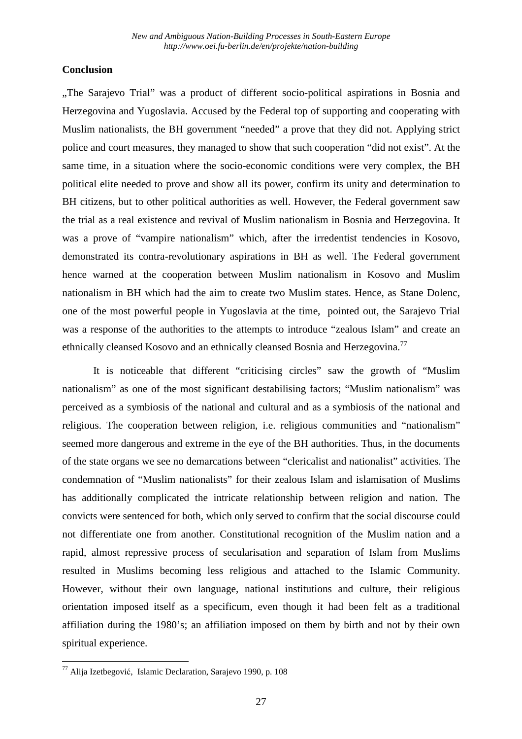# **Conclusion**

"The Sarajevo Trial" was a product of different socio-political aspirations in Bosnia and Herzegovina and Yugoslavia. Accused by the Federal top of supporting and cooperating with Muslim nationalists, the BH government "needed" a prove that they did not. Applying strict police and court measures, they managed to show that such cooperation "did not exist". At the same time, in a situation where the socio-economic conditions were very complex, the BH political elite needed to prove and show all its power, confirm its unity and determination to BH citizens, but to other political authorities as well. However, the Federal government saw the trial as a real existence and revival of Muslim nationalism in Bosnia and Herzegovina. It was a prove of "vampire nationalism" which, after the irredentist tendencies in Kosovo, demonstrated its contra-revolutionary aspirations in BH as well. The Federal government hence warned at the cooperation between Muslim nationalism in Kosovo and Muslim nationalism in BH which had the aim to create two Muslim states. Hence, as Stane Dolenc, one of the most powerful people in Yugoslavia at the time, pointed out, the Sarajevo Trial was a response of the authorities to the attempts to introduce "zealous Islam" and create an ethnically cleansed Kosovo and an ethnically cleansed Bosnia and Herzegovina.<sup>77</sup>

It is noticeable that different "criticising circles" saw the growth of "Muslim nationalism" as one of the most significant destabilising factors; "Muslim nationalism" was perceived as a symbiosis of the national and cultural and as a symbiosis of the national and religious. The cooperation between religion, i.e. religious communities and "nationalism" seemed more dangerous and extreme in the eye of the BH authorities. Thus, in the documents of the state organs we see no demarcations between "clericalist and nationalist" activities. The condemnation of "Muslim nationalists" for their zealous Islam and islamisation of Muslims has additionally complicated the intricate relationship between religion and nation. The convicts were sentenced for both, which only served to confirm that the social discourse could not differentiate one from another. Constitutional recognition of the Muslim nation and a rapid, almost repressive process of secularisation and separation of Islam from Muslims resulted in Muslims becoming less religious and attached to the Islamic Community. However, without their own language, national institutions and culture, their religious orientation imposed itself as a specificum, even though it had been felt as a traditional affiliation during the 1980's; an affiliation imposed on them by birth and not by their own spiritual experience.

<sup>&</sup>lt;sup>77</sup> Alija Izetbegović, Islamic Declaration, Sarajevo 1990, p. 108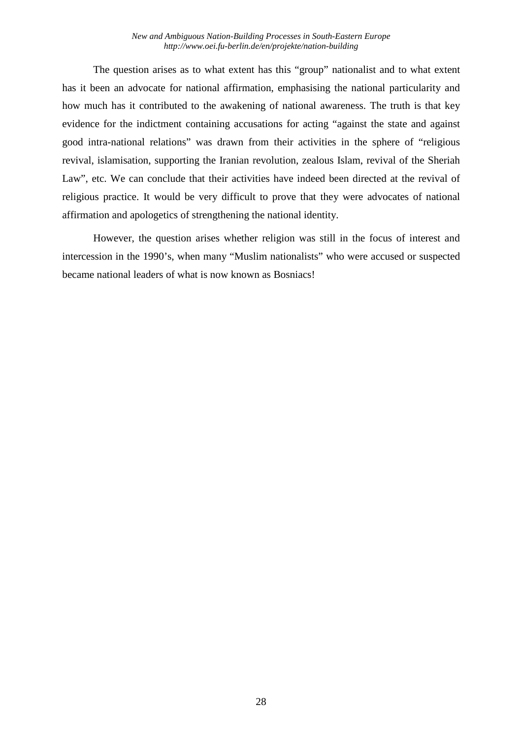The question arises as to what extent has this "group" nationalist and to what extent has it been an advocate for national affirmation, emphasising the national particularity and how much has it contributed to the awakening of national awareness. The truth is that key evidence for the indictment containing accusations for acting "against the state and against good intra-national relations" was drawn from their activities in the sphere of "religious revival, islamisation, supporting the Iranian revolution, zealous Islam, revival of the Sheriah Law", etc. We can conclude that their activities have indeed been directed at the revival of religious practice. It would be very difficult to prove that they were advocates of national affirmation and apologetics of strengthening the national identity.

However, the question arises whether religion was still in the focus of interest and intercession in the 1990's, when many "Muslim nationalists" who were accused or suspected became national leaders of what is now known as Bosniacs!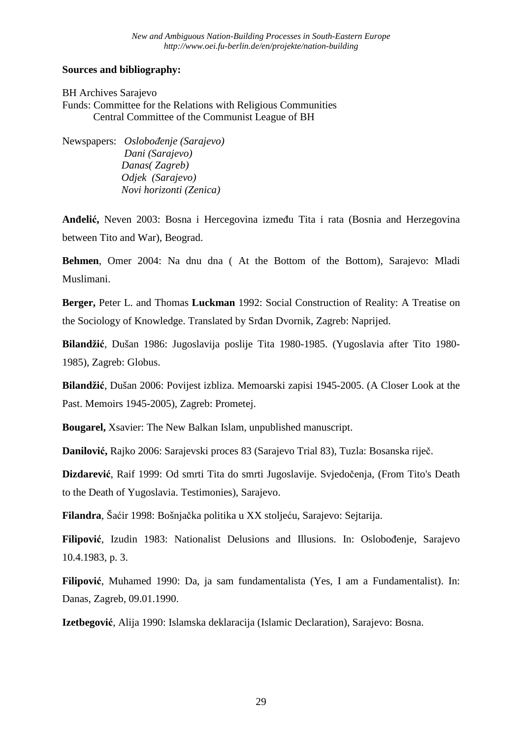# **Sources and bibliography:**

BH Archives Sarajevo Funds: Committee for the Relations with Religious Communities Central Committee of the Communist League of BH

Newspapers: *Oslobođenje (Sarajevo) Dani (Sarajevo) Danas( Zagreb) Odjek (Sarajevo) Novi horizonti (Zenica)* 

**Anđelić,** Neven 2003: Bosna i Hercegovina između Tita i rata (Bosnia and Herzegovina between Tito and War), Beograd.

**Behmen**, Omer 2004: Na dnu dna ( At the Bottom of the Bottom), Sarajevo: Mladi Muslimani.

**Berger,** Peter L. and Thomas **Luckman** 1992: Social Construction of Reality: A Treatise on the Sociology of Knowledge. Translated by Srđan Dvornik, Zagreb: Naprijed.

**Bilandžić**, Dušan 1986: Jugoslavija poslije Tita 1980-1985. (Yugoslavia after Tito 1980- 1985), Zagreb: Globus.

**Bilandžić**, Dušan 2006: Povijest izbliza. Memoarski zapisi 1945-2005. (A Closer Look at the Past. Memoirs 1945-2005), Zagreb: Prometej.

**Bougarel,** Xsavier: The New Balkan Islam, unpublished manuscript.

**Danilović,** Rajko 2006: Sarajevski proces 83 (Sarajevo Trial 83), Tuzla: Bosanska riječ.

**Dizdarević**, Raif 1999: Od smrti Tita do smrti Jugoslavije. Svjedočenja, (From Tito's Death to the Death of Yugoslavia. Testimonies), Sarajevo.

**Filandra**, Šaćir 1998: Bošnjačka politika u XX stoljeću, Sarajevo: Sejtarija.

**Filipović**, Izudin 1983: Nationalist Delusions and Illusions. In: Oslobođenje, Sarajevo 10.4.1983, p. 3.

**Filipović**, Muhamed 1990: Da, ja sam fundamentalista (Yes, I am a Fundamentalist). In: Danas, Zagreb, 09.01.1990.

**Izetbegović**, Alija 1990: Islamska deklaracija (Islamic Declaration), Sarajevo: Bosna.